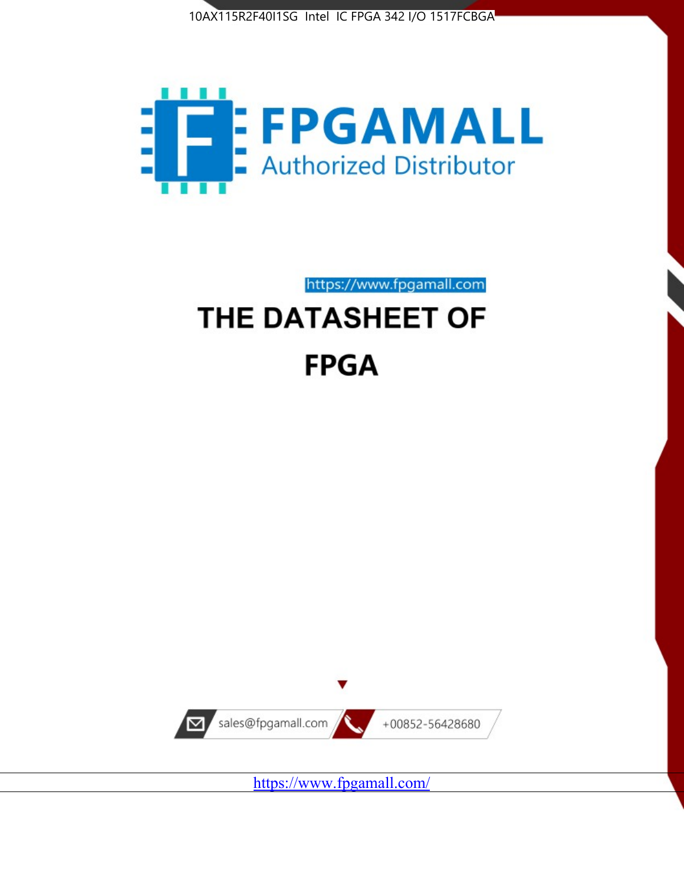



https://www.fpgamall.com

# THE DATASHEET OF **FPGA**



<https://www.fpgamall.com/>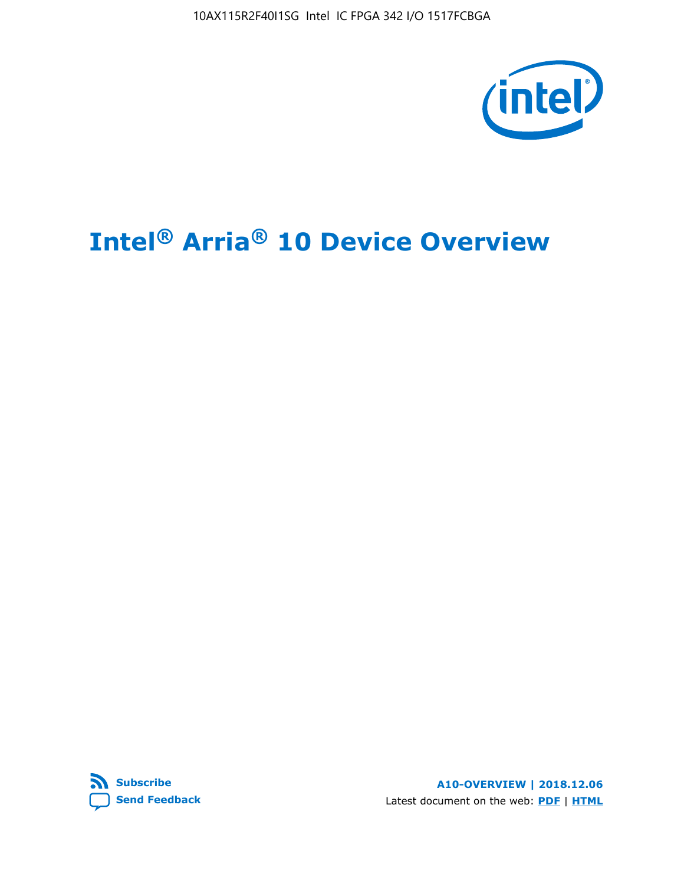10AX115R2F40I1SG Intel IC FPGA 342 I/O 1517FCBGA



# **Intel® Arria® 10 Device Overview**



**A10-OVERVIEW | 2018.12.06** Latest document on the web: **[PDF](https://www.intel.com/content/dam/www/programmable/us/en/pdfs/literature/hb/arria-10/a10_overview.pdf)** | **[HTML](https://www.intel.com/content/www/us/en/programmable/documentation/sam1403480274650.html)**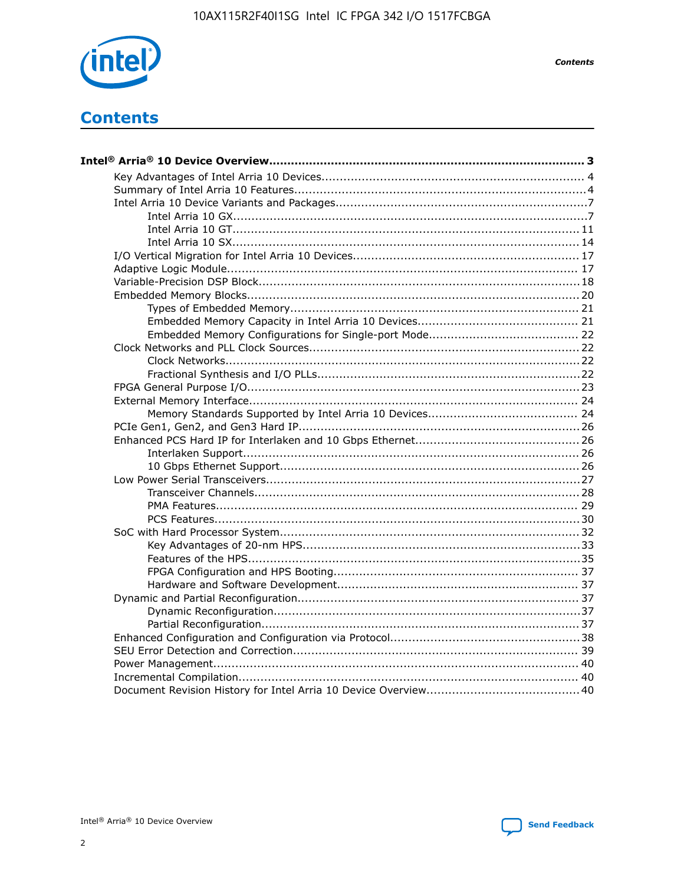

**Contents** 

# **Contents**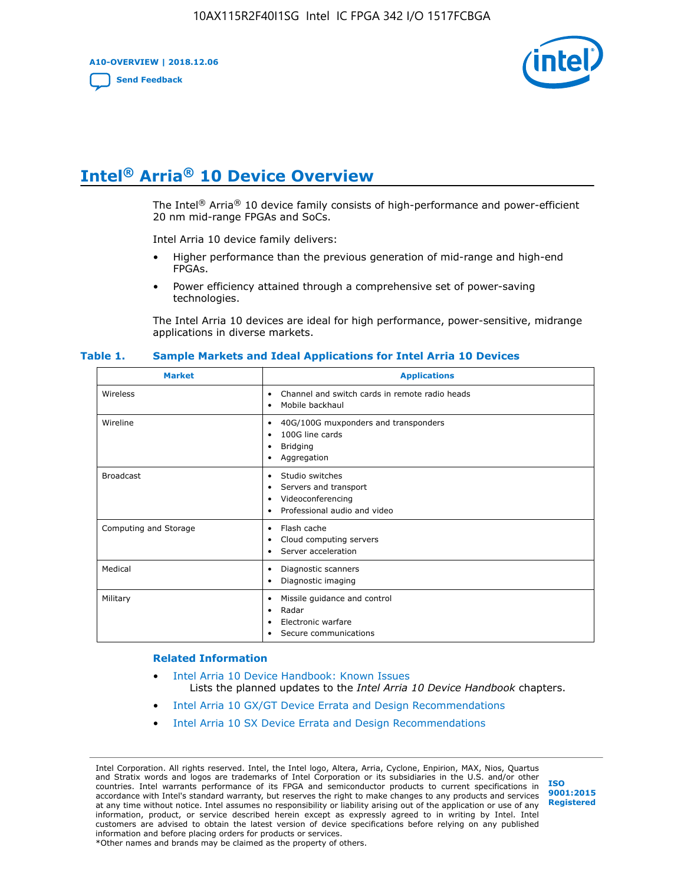**A10-OVERVIEW | 2018.12.06**

**[Send Feedback](mailto:FPGAtechdocfeedback@intel.com?subject=Feedback%20on%20Intel%20Arria%2010%20Device%20Overview%20(A10-OVERVIEW%202018.12.06)&body=We%20appreciate%20your%20feedback.%20In%20your%20comments,%20also%20specify%20the%20page%20number%20or%20paragraph.%20Thank%20you.)**



# **Intel® Arria® 10 Device Overview**

The Intel<sup>®</sup> Arria<sup>®</sup> 10 device family consists of high-performance and power-efficient 20 nm mid-range FPGAs and SoCs.

Intel Arria 10 device family delivers:

- Higher performance than the previous generation of mid-range and high-end FPGAs.
- Power efficiency attained through a comprehensive set of power-saving technologies.

The Intel Arria 10 devices are ideal for high performance, power-sensitive, midrange applications in diverse markets.

| <b>Market</b>         | <b>Applications</b>                                                                                               |
|-----------------------|-------------------------------------------------------------------------------------------------------------------|
| Wireless              | Channel and switch cards in remote radio heads<br>٠<br>Mobile backhaul<br>٠                                       |
| Wireline              | 40G/100G muxponders and transponders<br>٠<br>100G line cards<br>٠<br><b>Bridging</b><br>٠<br>Aggregation<br>٠     |
| <b>Broadcast</b>      | Studio switches<br>٠<br>Servers and transport<br>٠<br>Videoconferencing<br>٠<br>Professional audio and video<br>٠ |
| Computing and Storage | Flash cache<br>٠<br>Cloud computing servers<br>٠<br>Server acceleration<br>٠                                      |
| Medical               | Diagnostic scanners<br>٠<br>Diagnostic imaging<br>٠                                                               |
| Military              | Missile guidance and control<br>٠<br>Radar<br>٠<br>Electronic warfare<br>٠<br>Secure communications<br>٠          |

#### **Table 1. Sample Markets and Ideal Applications for Intel Arria 10 Devices**

#### **Related Information**

- [Intel Arria 10 Device Handbook: Known Issues](http://www.altera.com/support/kdb/solutions/rd07302013_646.html) Lists the planned updates to the *Intel Arria 10 Device Handbook* chapters.
- [Intel Arria 10 GX/GT Device Errata and Design Recommendations](https://www.intel.com/content/www/us/en/programmable/documentation/agz1493851706374.html#yqz1494433888646)
- [Intel Arria 10 SX Device Errata and Design Recommendations](https://www.intel.com/content/www/us/en/programmable/documentation/cru1462832385668.html#cru1462832558642)

Intel Corporation. All rights reserved. Intel, the Intel logo, Altera, Arria, Cyclone, Enpirion, MAX, Nios, Quartus and Stratix words and logos are trademarks of Intel Corporation or its subsidiaries in the U.S. and/or other countries. Intel warrants performance of its FPGA and semiconductor products to current specifications in accordance with Intel's standard warranty, but reserves the right to make changes to any products and services at any time without notice. Intel assumes no responsibility or liability arising out of the application or use of any information, product, or service described herein except as expressly agreed to in writing by Intel. Intel customers are advised to obtain the latest version of device specifications before relying on any published information and before placing orders for products or services. \*Other names and brands may be claimed as the property of others.

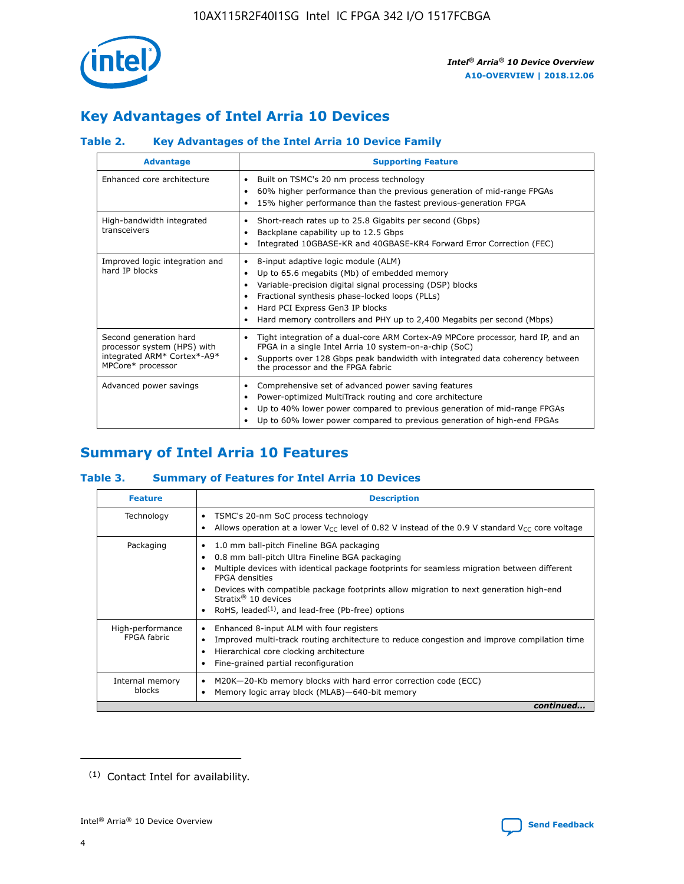

# **Key Advantages of Intel Arria 10 Devices**

## **Table 2. Key Advantages of the Intel Arria 10 Device Family**

| <b>Advantage</b>                                                                                          | <b>Supporting Feature</b>                                                                                                                                                                                                                                                                                                |
|-----------------------------------------------------------------------------------------------------------|--------------------------------------------------------------------------------------------------------------------------------------------------------------------------------------------------------------------------------------------------------------------------------------------------------------------------|
| Enhanced core architecture                                                                                | Built on TSMC's 20 nm process technology<br>٠<br>60% higher performance than the previous generation of mid-range FPGAs<br>٠<br>15% higher performance than the fastest previous-generation FPGA<br>٠                                                                                                                    |
| High-bandwidth integrated<br>transceivers                                                                 | Short-reach rates up to 25.8 Gigabits per second (Gbps)<br>٠<br>Backplane capability up to 12.5 Gbps<br>٠<br>Integrated 10GBASE-KR and 40GBASE-KR4 Forward Error Correction (FEC)<br>٠                                                                                                                                   |
| Improved logic integration and<br>hard IP blocks                                                          | 8-input adaptive logic module (ALM)<br>٠<br>Up to 65.6 megabits (Mb) of embedded memory<br>٠<br>Variable-precision digital signal processing (DSP) blocks<br>Fractional synthesis phase-locked loops (PLLs)<br>Hard PCI Express Gen3 IP blocks<br>Hard memory controllers and PHY up to 2,400 Megabits per second (Mbps) |
| Second generation hard<br>processor system (HPS) with<br>integrated ARM* Cortex*-A9*<br>MPCore* processor | Tight integration of a dual-core ARM Cortex-A9 MPCore processor, hard IP, and an<br>٠<br>FPGA in a single Intel Arria 10 system-on-a-chip (SoC)<br>Supports over 128 Gbps peak bandwidth with integrated data coherency between<br>$\bullet$<br>the processor and the FPGA fabric                                        |
| Advanced power savings                                                                                    | Comprehensive set of advanced power saving features<br>٠<br>Power-optimized MultiTrack routing and core architecture<br>٠<br>Up to 40% lower power compared to previous generation of mid-range FPGAs<br>Up to 60% lower power compared to previous generation of high-end FPGAs                                         |

# **Summary of Intel Arria 10 Features**

## **Table 3. Summary of Features for Intel Arria 10 Devices**

| <b>Feature</b>                  | <b>Description</b>                                                                                                                                                                                                                                                                                                                                                                                           |
|---------------------------------|--------------------------------------------------------------------------------------------------------------------------------------------------------------------------------------------------------------------------------------------------------------------------------------------------------------------------------------------------------------------------------------------------------------|
| Technology                      | TSMC's 20-nm SoC process technology<br>Allows operation at a lower $V_{\text{CC}}$ level of 0.82 V instead of the 0.9 V standard $V_{\text{CC}}$ core voltage                                                                                                                                                                                                                                                |
| Packaging                       | 1.0 mm ball-pitch Fineline BGA packaging<br>٠<br>0.8 mm ball-pitch Ultra Fineline BGA packaging<br>Multiple devices with identical package footprints for seamless migration between different<br><b>FPGA</b> densities<br>Devices with compatible package footprints allow migration to next generation high-end<br>Stratix <sup>®</sup> 10 devices<br>RoHS, leaded $(1)$ , and lead-free (Pb-free) options |
| High-performance<br>FPGA fabric | Enhanced 8-input ALM with four registers<br>Improved multi-track routing architecture to reduce congestion and improve compilation time<br>Hierarchical core clocking architecture<br>Fine-grained partial reconfiguration                                                                                                                                                                                   |
| Internal memory<br>blocks       | M20K-20-Kb memory blocks with hard error correction code (ECC)<br>Memory logic array block (MLAB)-640-bit memory                                                                                                                                                                                                                                                                                             |
|                                 | continued                                                                                                                                                                                                                                                                                                                                                                                                    |



<sup>(1)</sup> Contact Intel for availability.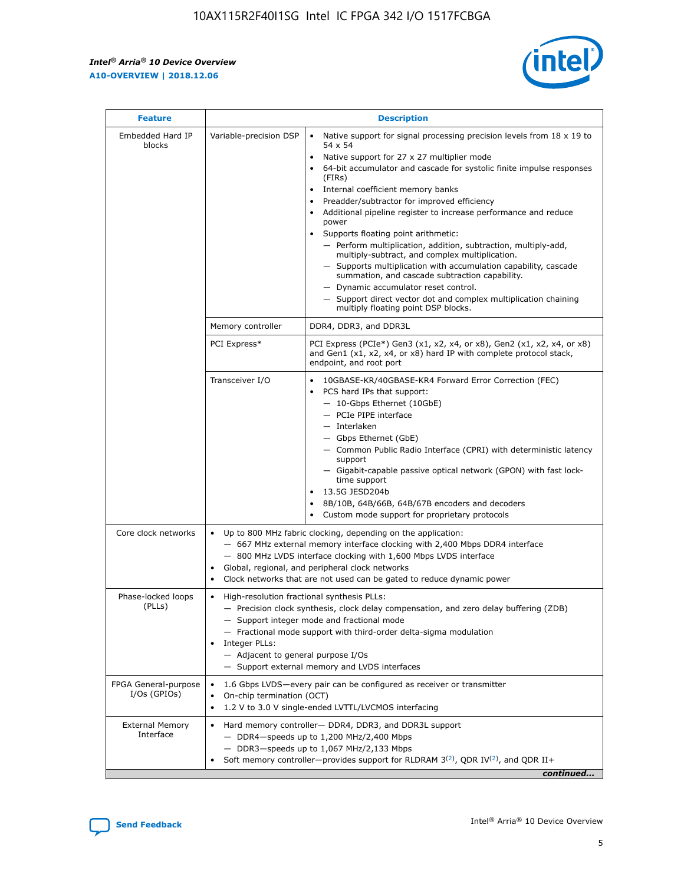r



| <b>Feature</b>                         |                                                                                                                | <b>Description</b>                                                                                                                                                                                                                                                                                                                                                                                                                                                                                                                                                                                                                                                                                                                                                                                                                     |
|----------------------------------------|----------------------------------------------------------------------------------------------------------------|----------------------------------------------------------------------------------------------------------------------------------------------------------------------------------------------------------------------------------------------------------------------------------------------------------------------------------------------------------------------------------------------------------------------------------------------------------------------------------------------------------------------------------------------------------------------------------------------------------------------------------------------------------------------------------------------------------------------------------------------------------------------------------------------------------------------------------------|
| Embedded Hard IP<br>blocks             | Variable-precision DSP                                                                                         | Native support for signal processing precision levels from $18 \times 19$ to<br>54 x 54<br>Native support for 27 x 27 multiplier mode<br>64-bit accumulator and cascade for systolic finite impulse responses<br>(FIRs)<br>Internal coefficient memory banks<br>$\bullet$<br>Preadder/subtractor for improved efficiency<br>Additional pipeline register to increase performance and reduce<br>power<br>Supports floating point arithmetic:<br>- Perform multiplication, addition, subtraction, multiply-add,<br>multiply-subtract, and complex multiplication.<br>- Supports multiplication with accumulation capability, cascade<br>summation, and cascade subtraction capability.<br>- Dynamic accumulator reset control.<br>- Support direct vector dot and complex multiplication chaining<br>multiply floating point DSP blocks. |
|                                        | Memory controller                                                                                              | DDR4, DDR3, and DDR3L                                                                                                                                                                                                                                                                                                                                                                                                                                                                                                                                                                                                                                                                                                                                                                                                                  |
|                                        | PCI Express*                                                                                                   | PCI Express (PCIe*) Gen3 (x1, x2, x4, or x8), Gen2 (x1, x2, x4, or x8)<br>and Gen1 (x1, x2, x4, or x8) hard IP with complete protocol stack,<br>endpoint, and root port                                                                                                                                                                                                                                                                                                                                                                                                                                                                                                                                                                                                                                                                |
|                                        | Transceiver I/O                                                                                                | 10GBASE-KR/40GBASE-KR4 Forward Error Correction (FEC)<br>PCS hard IPs that support:<br>$\bullet$<br>- 10-Gbps Ethernet (10GbE)<br>- PCIe PIPE interface<br>- Interlaken<br>- Gbps Ethernet (GbE)<br>- Common Public Radio Interface (CPRI) with deterministic latency<br>support<br>- Gigabit-capable passive optical network (GPON) with fast lock-<br>time support<br>13.5G JESD204b<br>8B/10B, 64B/66B, 64B/67B encoders and decoders<br>Custom mode support for proprietary protocols                                                                                                                                                                                                                                                                                                                                              |
| Core clock networks                    | $\bullet$<br>٠                                                                                                 | Up to 800 MHz fabric clocking, depending on the application:<br>- 667 MHz external memory interface clocking with 2,400 Mbps DDR4 interface<br>- 800 MHz LVDS interface clocking with 1,600 Mbps LVDS interface<br>Global, regional, and peripheral clock networks<br>Clock networks that are not used can be gated to reduce dynamic power                                                                                                                                                                                                                                                                                                                                                                                                                                                                                            |
| Phase-locked loops<br>(PLLs)           | High-resolution fractional synthesis PLLs:<br>$\bullet$<br>Integer PLLs:<br>- Adjacent to general purpose I/Os | - Precision clock synthesis, clock delay compensation, and zero delay buffering (ZDB)<br>- Support integer mode and fractional mode<br>- Fractional mode support with third-order delta-sigma modulation<br>- Support external memory and LVDS interfaces                                                                                                                                                                                                                                                                                                                                                                                                                                                                                                                                                                              |
| FPGA General-purpose<br>$I/Os$ (GPIOs) | On-chip termination (OCT)                                                                                      | 1.6 Gbps LVDS-every pair can be configured as receiver or transmitter<br>1.2 V to 3.0 V single-ended LVTTL/LVCMOS interfacing                                                                                                                                                                                                                                                                                                                                                                                                                                                                                                                                                                                                                                                                                                          |
| <b>External Memory</b><br>Interface    |                                                                                                                | Hard memory controller- DDR4, DDR3, and DDR3L support<br>$-$ DDR4-speeds up to 1,200 MHz/2,400 Mbps<br>- DDR3-speeds up to 1,067 MHz/2,133 Mbps<br>Soft memory controller—provides support for RLDRAM $3^{(2)}$ , QDR IV $^{(2)}$ , and QDR II+<br>continued                                                                                                                                                                                                                                                                                                                                                                                                                                                                                                                                                                           |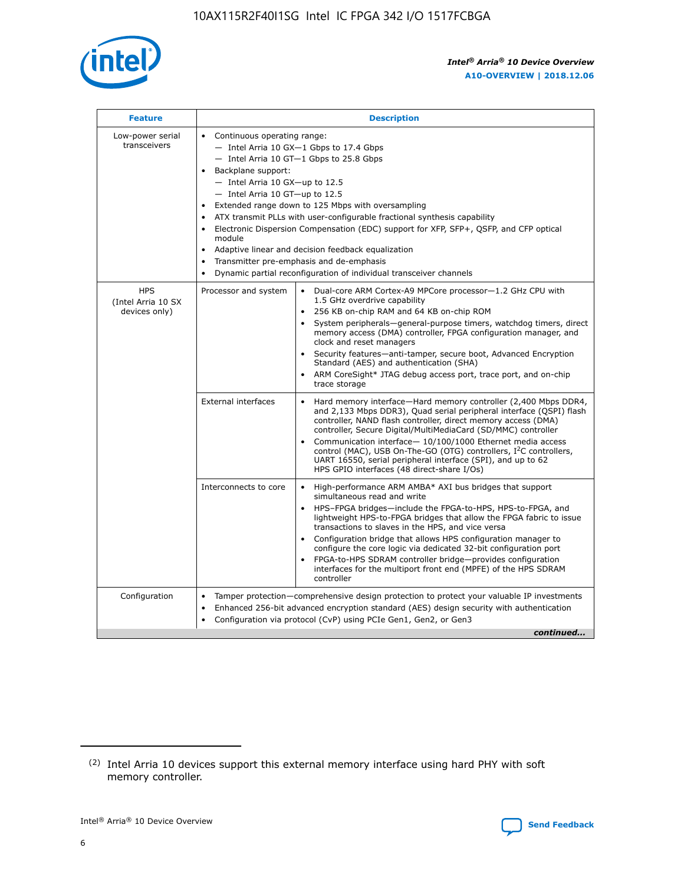

| <b>Feature</b>                                    | <b>Description</b>                                                                                                                                                                                                                                                                                                                                                                                                                                                                                                                                                                                                                                    |
|---------------------------------------------------|-------------------------------------------------------------------------------------------------------------------------------------------------------------------------------------------------------------------------------------------------------------------------------------------------------------------------------------------------------------------------------------------------------------------------------------------------------------------------------------------------------------------------------------------------------------------------------------------------------------------------------------------------------|
| Low-power serial<br>transceivers                  | • Continuous operating range:<br>- Intel Arria 10 GX-1 Gbps to 17.4 Gbps<br>- Intel Arria 10 GT-1 Gbps to 25.8 Gbps<br>Backplane support:<br>$-$ Intel Arria 10 GX-up to 12.5<br>- Intel Arria 10 GT-up to 12.5<br>Extended range down to 125 Mbps with oversampling<br>ATX transmit PLLs with user-configurable fractional synthesis capability<br>Electronic Dispersion Compensation (EDC) support for XFP, SFP+, QSFP, and CFP optical<br>module<br>Adaptive linear and decision feedback equalization<br>$\bullet$<br>Transmitter pre-emphasis and de-emphasis<br>$\bullet$<br>Dynamic partial reconfiguration of individual transceiver channels |
| <b>HPS</b><br>(Intel Arria 10 SX<br>devices only) | • Dual-core ARM Cortex-A9 MPCore processor-1.2 GHz CPU with<br>Processor and system<br>1.5 GHz overdrive capability<br>256 KB on-chip RAM and 64 KB on-chip ROM<br>$\bullet$<br>System peripherals—general-purpose timers, watchdog timers, direct<br>memory access (DMA) controller, FPGA configuration manager, and<br>clock and reset managers<br>Security features—anti-tamper, secure boot, Advanced Encryption<br>$\bullet$<br>Standard (AES) and authentication (SHA)<br>ARM CoreSight* JTAG debug access port, trace port, and on-chip<br>$\bullet$<br>trace storage                                                                          |
|                                                   | <b>External interfaces</b><br>Hard memory interface-Hard memory controller (2,400 Mbps DDR4,<br>$\bullet$<br>and 2,133 Mbps DDR3), Quad serial peripheral interface (QSPI) flash<br>controller, NAND flash controller, direct memory access (DMA)<br>controller, Secure Digital/MultiMediaCard (SD/MMC) controller<br>Communication interface-10/100/1000 Ethernet media access<br>$\bullet$<br>control (MAC), USB On-The-GO (OTG) controllers, I <sup>2</sup> C controllers,<br>UART 16550, serial peripheral interface (SPI), and up to 62<br>HPS GPIO interfaces (48 direct-share I/Os)                                                            |
|                                                   | High-performance ARM AMBA* AXI bus bridges that support<br>Interconnects to core<br>$\bullet$<br>simultaneous read and write<br>HPS-FPGA bridges-include the FPGA-to-HPS, HPS-to-FPGA, and<br>$\bullet$<br>lightweight HPS-to-FPGA bridges that allow the FPGA fabric to issue<br>transactions to slaves in the HPS, and vice versa<br>Configuration bridge that allows HPS configuration manager to<br>configure the core logic via dedicated 32-bit configuration port<br>FPGA-to-HPS SDRAM controller bridge-provides configuration<br>interfaces for the multiport front end (MPFE) of the HPS SDRAM<br>controller                                |
| Configuration                                     | Tamper protection—comprehensive design protection to protect your valuable IP investments<br>Enhanced 256-bit advanced encryption standard (AES) design security with authentication<br>٠<br>Configuration via protocol (CvP) using PCIe Gen1, Gen2, or Gen3<br>continued                                                                                                                                                                                                                                                                                                                                                                             |

<sup>(2)</sup> Intel Arria 10 devices support this external memory interface using hard PHY with soft memory controller.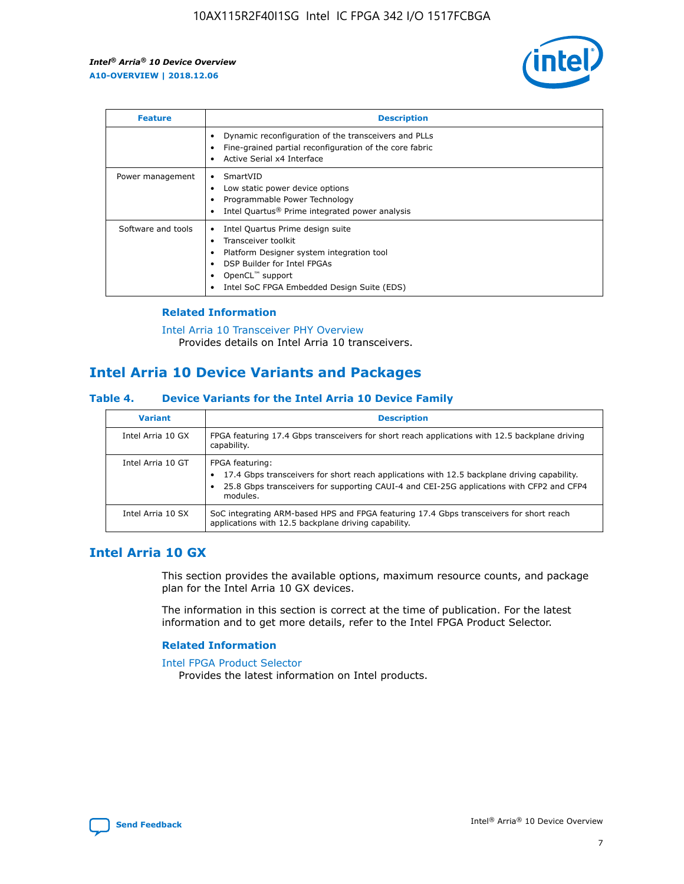

| <b>Feature</b>     | <b>Description</b>                                                                                                                                                                                                            |
|--------------------|-------------------------------------------------------------------------------------------------------------------------------------------------------------------------------------------------------------------------------|
|                    | Dynamic reconfiguration of the transceivers and PLLs<br>Fine-grained partial reconfiguration of the core fabric<br>Active Serial x4 Interface<br>$\bullet$                                                                    |
| Power management   | SmartVID<br>Low static power device options<br>Programmable Power Technology<br>Intel Quartus <sup>®</sup> Prime integrated power analysis                                                                                    |
| Software and tools | Intel Quartus Prime design suite<br>Transceiver toolkit<br>$\bullet$<br>Platform Designer system integration tool<br>DSP Builder for Intel FPGAs<br>OpenCL <sup>"</sup> support<br>Intel SoC FPGA Embedded Design Suite (EDS) |

## **Related Information**

[Intel Arria 10 Transceiver PHY Overview](https://www.intel.com/content/www/us/en/programmable/documentation/nik1398707230472.html#nik1398706768037) Provides details on Intel Arria 10 transceivers.

## **Intel Arria 10 Device Variants and Packages**

#### **Table 4. Device Variants for the Intel Arria 10 Device Family**

| <b>Variant</b>    | <b>Description</b>                                                                                                                                                                                                     |
|-------------------|------------------------------------------------------------------------------------------------------------------------------------------------------------------------------------------------------------------------|
| Intel Arria 10 GX | FPGA featuring 17.4 Gbps transceivers for short reach applications with 12.5 backplane driving<br>capability.                                                                                                          |
| Intel Arria 10 GT | FPGA featuring:<br>17.4 Gbps transceivers for short reach applications with 12.5 backplane driving capability.<br>25.8 Gbps transceivers for supporting CAUI-4 and CEI-25G applications with CFP2 and CFP4<br>modules. |
| Intel Arria 10 SX | SoC integrating ARM-based HPS and FPGA featuring 17.4 Gbps transceivers for short reach<br>applications with 12.5 backplane driving capability.                                                                        |

## **Intel Arria 10 GX**

This section provides the available options, maximum resource counts, and package plan for the Intel Arria 10 GX devices.

The information in this section is correct at the time of publication. For the latest information and to get more details, refer to the Intel FPGA Product Selector.

#### **Related Information**

#### [Intel FPGA Product Selector](http://www.altera.com/products/selector/psg-selector.html) Provides the latest information on Intel products.

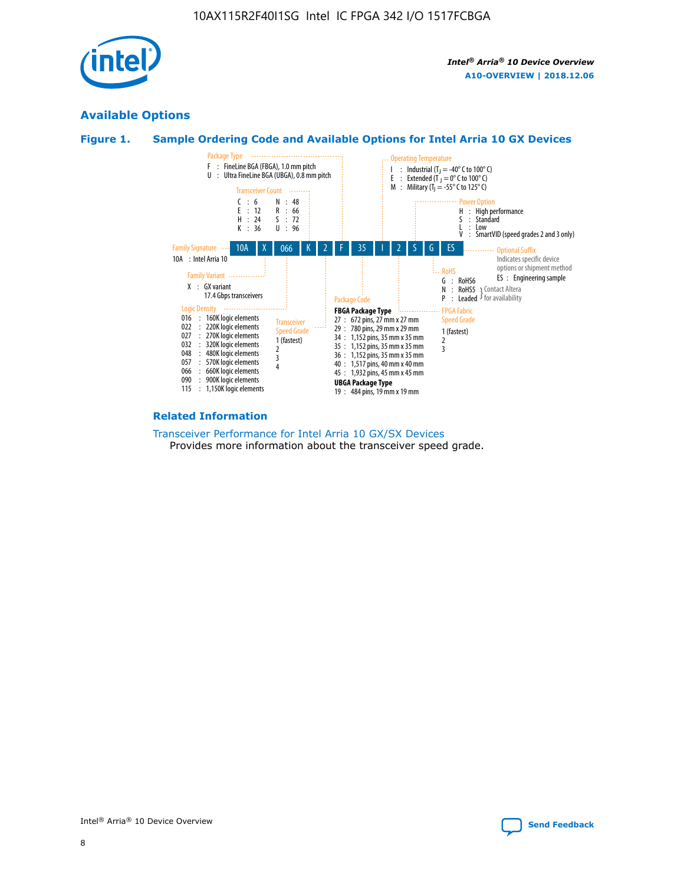

## **Available Options**





#### **Related Information**

[Transceiver Performance for Intel Arria 10 GX/SX Devices](https://www.intel.com/content/www/us/en/programmable/documentation/mcn1413182292568.html#mcn1413213965502) Provides more information about the transceiver speed grade.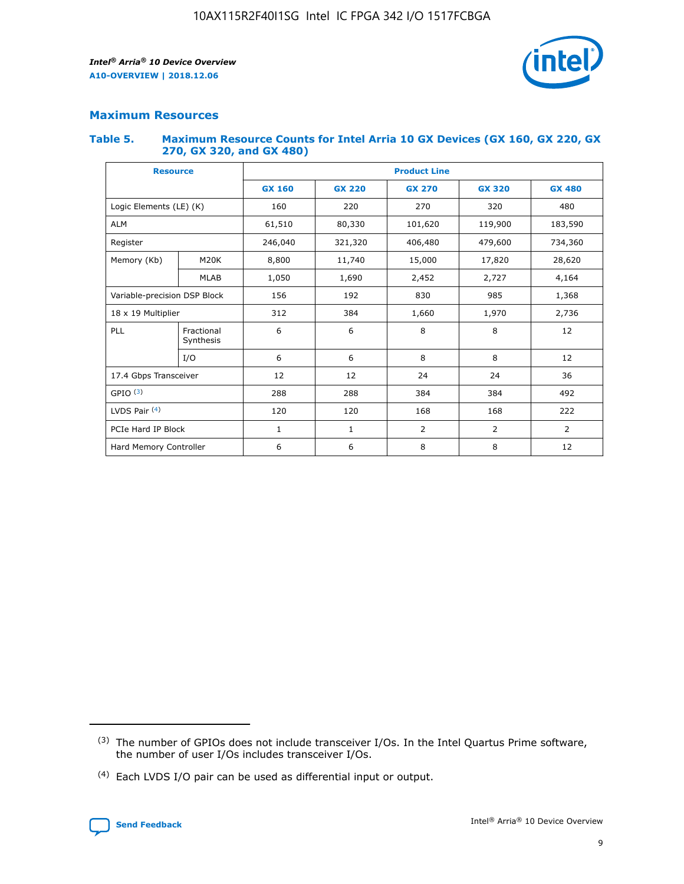

## **Maximum Resources**

#### **Table 5. Maximum Resource Counts for Intel Arria 10 GX Devices (GX 160, GX 220, GX 270, GX 320, and GX 480)**

| <b>Resource</b>         |                              | <b>Product Line</b> |                                                 |                |                |                |  |  |
|-------------------------|------------------------------|---------------------|-------------------------------------------------|----------------|----------------|----------------|--|--|
|                         |                              | <b>GX 160</b>       | <b>GX 220</b><br><b>GX 270</b><br><b>GX 320</b> |                |                | <b>GX 480</b>  |  |  |
| Logic Elements (LE) (K) |                              | 160                 | 220                                             | 270            | 320            | 480            |  |  |
| <b>ALM</b>              |                              | 61,510              | 80,330                                          | 101,620        | 119,900        | 183,590        |  |  |
| Register                |                              | 246,040             | 321,320                                         | 406,480        | 479,600        | 734,360        |  |  |
| Memory (Kb)             | M <sub>20</sub> K            | 8,800               | 11,740                                          | 15,000         | 17,820         | 28,620         |  |  |
|                         | <b>MLAB</b>                  | 1,050               | 1,690                                           | 2,452          | 2,727          | 4,164          |  |  |
|                         | Variable-precision DSP Block |                     | 192                                             | 830<br>985     |                | 1,368          |  |  |
| 18 x 19 Multiplier      |                              | 312                 | 384                                             | 1,970<br>1,660 |                | 2,736          |  |  |
| PLL                     | Fractional<br>Synthesis      | 6                   | 6                                               | 8              | 8              | 12             |  |  |
|                         | I/O                          | 6                   | 6                                               | 8              | 8              | 12             |  |  |
| 17.4 Gbps Transceiver   |                              | 12                  | 12                                              | 24             | 24             | 36             |  |  |
| GPIO <sup>(3)</sup>     |                              | 288                 | 288                                             | 384            | 384            | 492            |  |  |
| LVDS Pair $(4)$         |                              | 120                 | 120                                             | 168            | 168            | 222            |  |  |
| PCIe Hard IP Block      |                              | 1                   | 1                                               | 2              | $\overline{2}$ | $\overline{2}$ |  |  |
| Hard Memory Controller  |                              | 6                   | 6                                               | 8              | 8              | 12             |  |  |

<sup>(4)</sup> Each LVDS I/O pair can be used as differential input or output.



<sup>(3)</sup> The number of GPIOs does not include transceiver I/Os. In the Intel Quartus Prime software, the number of user I/Os includes transceiver I/Os.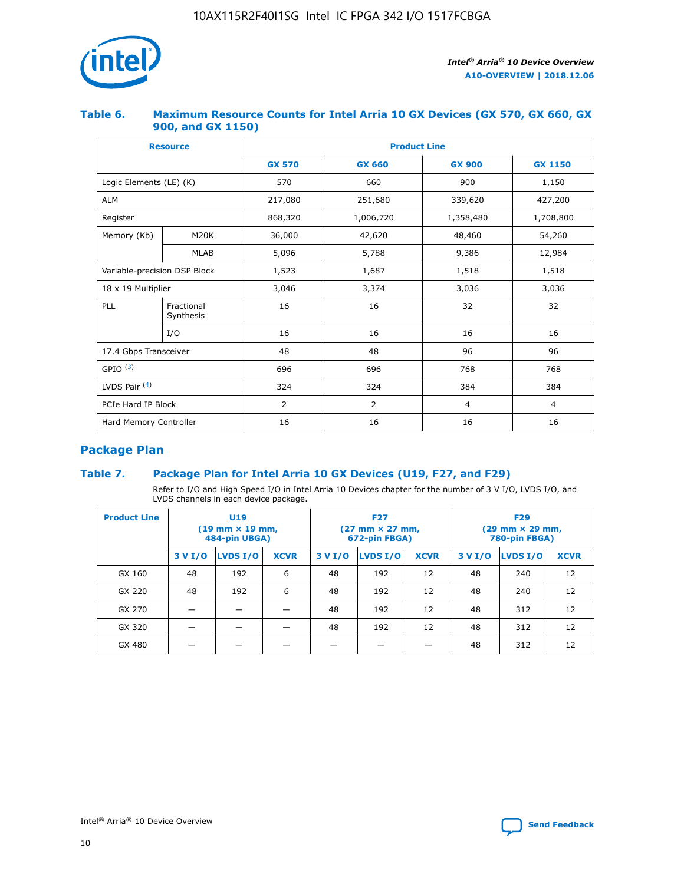

## **Table 6. Maximum Resource Counts for Intel Arria 10 GX Devices (GX 570, GX 660, GX 900, and GX 1150)**

|                              | <b>Resource</b>         | <b>Product Line</b> |                |                |                |  |  |  |
|------------------------------|-------------------------|---------------------|----------------|----------------|----------------|--|--|--|
|                              |                         | <b>GX 570</b>       | <b>GX 660</b>  |                | <b>GX 1150</b> |  |  |  |
| Logic Elements (LE) (K)      |                         | 570                 | 660            | 900            | 1,150          |  |  |  |
| <b>ALM</b>                   |                         | 217,080             | 251,680        | 339,620        | 427,200        |  |  |  |
| Register                     |                         | 868,320             | 1,006,720      | 1,358,480      | 1,708,800      |  |  |  |
| Memory (Kb)                  | <b>M20K</b>             | 36,000              | 42,620         | 48,460         | 54,260         |  |  |  |
|                              | <b>MLAB</b>             | 5,096               | 5,788          | 9,386          | 12,984         |  |  |  |
| Variable-precision DSP Block |                         | 1,523               | 1,687          | 1,518          | 1,518          |  |  |  |
| $18 \times 19$ Multiplier    |                         | 3,046               | 3,374          | 3,036          | 3,036          |  |  |  |
| PLL                          | Fractional<br>Synthesis | 16                  | 16             | 32             | 32             |  |  |  |
|                              | I/O                     | 16                  | 16             | 16             | 16             |  |  |  |
| 17.4 Gbps Transceiver        |                         | 48                  | 48<br>96       |                | 96             |  |  |  |
| GPIO <sup>(3)</sup>          |                         | 696                 | 696            | 768            | 768            |  |  |  |
| LVDS Pair $(4)$              |                         | 324                 | 324<br>384     |                | 384            |  |  |  |
| PCIe Hard IP Block           |                         | 2                   | $\overline{2}$ | $\overline{4}$ | $\overline{4}$ |  |  |  |
| Hard Memory Controller       |                         | 16                  | 16             | 16             | 16             |  |  |  |

## **Package Plan**

## **Table 7. Package Plan for Intel Arria 10 GX Devices (U19, F27, and F29)**

Refer to I/O and High Speed I/O in Intel Arria 10 Devices chapter for the number of 3 V I/O, LVDS I/O, and LVDS channels in each device package.

| <b>Product Line</b> | U <sub>19</sub><br>$(19 \text{ mm} \times 19 \text{ mm})$<br>484-pin UBGA) |          |             |         | <b>F27</b><br>(27 mm × 27 mm,<br>672-pin FBGA) |             | <b>F29</b><br>(29 mm × 29 mm,<br>780-pin FBGA) |          |             |  |
|---------------------|----------------------------------------------------------------------------|----------|-------------|---------|------------------------------------------------|-------------|------------------------------------------------|----------|-------------|--|
|                     | 3 V I/O                                                                    | LVDS I/O | <b>XCVR</b> | 3 V I/O | <b>LVDS I/O</b>                                | <b>XCVR</b> | 3 V I/O                                        | LVDS I/O | <b>XCVR</b> |  |
| GX 160              | 48                                                                         | 192      | 6           | 48      | 192                                            | 12          | 48                                             | 240      | 12          |  |
| GX 220              | 48                                                                         | 192      | 6           | 48      | 192                                            | 12          | 48                                             | 240      | 12          |  |
| GX 270              |                                                                            |          |             | 48      | 192                                            | 12          | 48                                             | 312      | 12          |  |
| GX 320              |                                                                            |          |             | 48      | 192                                            | 12          | 48                                             | 312      | 12          |  |
| GX 480              |                                                                            |          |             |         |                                                |             | 48                                             | 312      | 12          |  |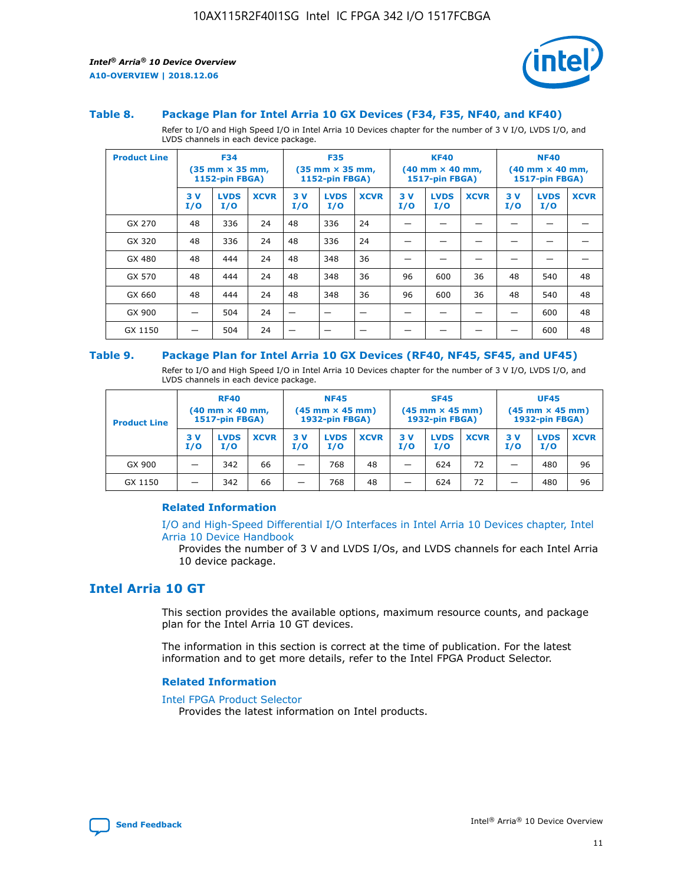

#### **Table 8. Package Plan for Intel Arria 10 GX Devices (F34, F35, NF40, and KF40)**

Refer to I/O and High Speed I/O in Intel Arria 10 Devices chapter for the number of 3 V I/O, LVDS I/O, and LVDS channels in each device package.

| <b>Product Line</b> | <b>F34</b><br>$(35 \text{ mm} \times 35 \text{ mm})$<br><b>1152-pin FBGA)</b> |                    | <b>F35</b><br>$(35 \text{ mm} \times 35 \text{ mm})$<br><b>1152-pin FBGA)</b> |           | <b>KF40</b><br>$(40$ mm $\times$ 40 mm,<br>1517-pin FBGA) |             |           | <b>NF40</b><br>$(40 \text{ mm} \times 40 \text{ mm})$<br>1517-pin FBGA) |             |           |                    |             |
|---------------------|-------------------------------------------------------------------------------|--------------------|-------------------------------------------------------------------------------|-----------|-----------------------------------------------------------|-------------|-----------|-------------------------------------------------------------------------|-------------|-----------|--------------------|-------------|
|                     | 3V<br>I/O                                                                     | <b>LVDS</b><br>I/O | <b>XCVR</b>                                                                   | 3V<br>I/O | <b>LVDS</b><br>I/O                                        | <b>XCVR</b> | 3V<br>I/O | <b>LVDS</b><br>I/O                                                      | <b>XCVR</b> | 3V<br>I/O | <b>LVDS</b><br>I/O | <b>XCVR</b> |
| GX 270              | 48                                                                            | 336                | 24                                                                            | 48        | 336                                                       | 24          |           |                                                                         |             |           |                    |             |
| GX 320              | 48                                                                            | 336                | 24                                                                            | 48        | 336                                                       | 24          |           |                                                                         |             |           |                    |             |
| GX 480              | 48                                                                            | 444                | 24                                                                            | 48        | 348                                                       | 36          |           |                                                                         |             |           |                    |             |
| GX 570              | 48                                                                            | 444                | 24                                                                            | 48        | 348                                                       | 36          | 96        | 600                                                                     | 36          | 48        | 540                | 48          |
| GX 660              | 48                                                                            | 444                | 24                                                                            | 48        | 348                                                       | 36          | 96        | 600                                                                     | 36          | 48        | 540                | 48          |
| GX 900              |                                                                               | 504                | 24                                                                            | –         |                                                           | -           |           |                                                                         |             |           | 600                | 48          |
| GX 1150             |                                                                               | 504                | 24                                                                            |           |                                                           |             |           |                                                                         |             |           | 600                | 48          |

#### **Table 9. Package Plan for Intel Arria 10 GX Devices (RF40, NF45, SF45, and UF45)**

Refer to I/O and High Speed I/O in Intel Arria 10 Devices chapter for the number of 3 V I/O, LVDS I/O, and LVDS channels in each device package.

| <b>Product Line</b> | <b>RF40</b><br>$(40$ mm $\times$ 40 mm,<br>1517-pin FBGA) |                    |             | <b>NF45</b><br>$(45 \text{ mm} \times 45 \text{ mm})$<br><b>1932-pin FBGA)</b> |                    |             | <b>SF45</b><br>$(45 \text{ mm} \times 45 \text{ mm})$<br><b>1932-pin FBGA)</b> |                    |             | <b>UF45</b><br>$(45 \text{ mm} \times 45 \text{ mm})$<br><b>1932-pin FBGA)</b> |                    |             |
|---------------------|-----------------------------------------------------------|--------------------|-------------|--------------------------------------------------------------------------------|--------------------|-------------|--------------------------------------------------------------------------------|--------------------|-------------|--------------------------------------------------------------------------------|--------------------|-------------|
|                     | 3V<br>I/O                                                 | <b>LVDS</b><br>I/O | <b>XCVR</b> | 3 V<br>I/O                                                                     | <b>LVDS</b><br>I/O | <b>XCVR</b> | 3 V<br>I/O                                                                     | <b>LVDS</b><br>I/O | <b>XCVR</b> | 3V<br>I/O                                                                      | <b>LVDS</b><br>I/O | <b>XCVR</b> |
| GX 900              |                                                           | 342                | 66          | _                                                                              | 768                | 48          |                                                                                | 624                | 72          |                                                                                | 480                | 96          |
| GX 1150             |                                                           | 342                | 66          | _                                                                              | 768                | 48          |                                                                                | 624                | 72          |                                                                                | 480                | 96          |

## **Related Information**

[I/O and High-Speed Differential I/O Interfaces in Intel Arria 10 Devices chapter, Intel](https://www.intel.com/content/www/us/en/programmable/documentation/sam1403482614086.html#sam1403482030321) [Arria 10 Device Handbook](https://www.intel.com/content/www/us/en/programmable/documentation/sam1403482614086.html#sam1403482030321)

Provides the number of 3 V and LVDS I/Os, and LVDS channels for each Intel Arria 10 device package.

## **Intel Arria 10 GT**

This section provides the available options, maximum resource counts, and package plan for the Intel Arria 10 GT devices.

The information in this section is correct at the time of publication. For the latest information and to get more details, refer to the Intel FPGA Product Selector.

#### **Related Information**

#### [Intel FPGA Product Selector](http://www.altera.com/products/selector/psg-selector.html)

Provides the latest information on Intel products.

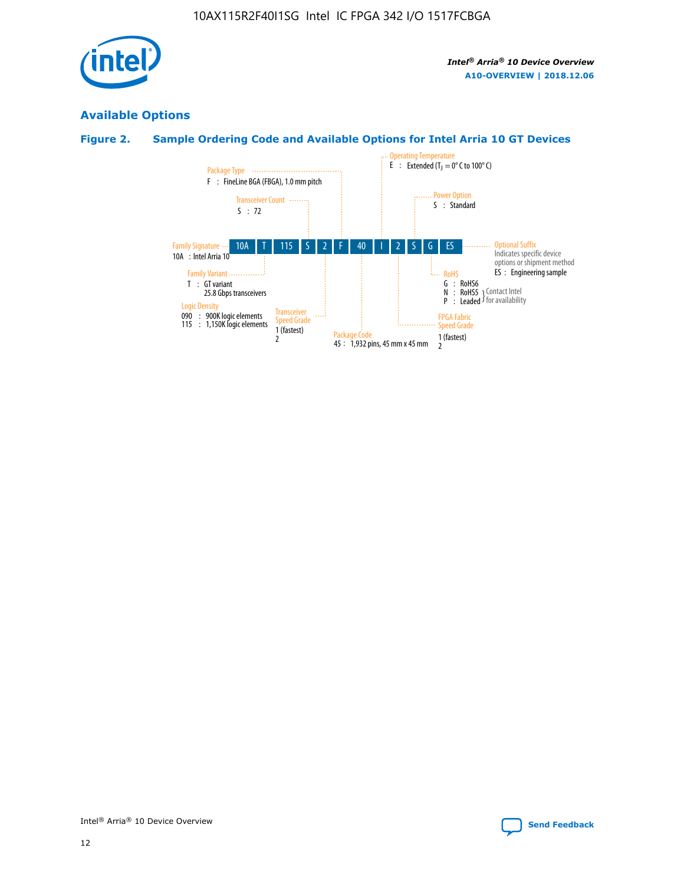

# **Available Options**

## **Figure 2. Sample Ordering Code and Available Options for Intel Arria 10 GT Devices**

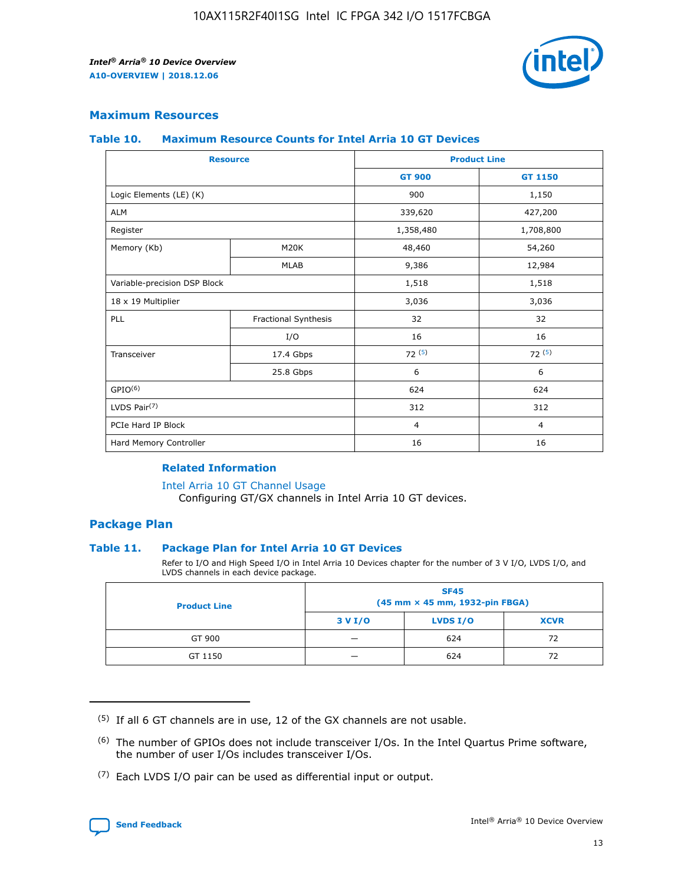

## **Maximum Resources**

#### **Table 10. Maximum Resource Counts for Intel Arria 10 GT Devices**

| <b>Resource</b>              |                      |                | <b>Product Line</b> |  |
|------------------------------|----------------------|----------------|---------------------|--|
|                              |                      | <b>GT 900</b>  | <b>GT 1150</b>      |  |
| Logic Elements (LE) (K)      |                      | 900            | 1,150               |  |
| <b>ALM</b>                   |                      | 339,620        | 427,200             |  |
| Register                     |                      | 1,358,480      | 1,708,800           |  |
| Memory (Kb)                  | M20K                 | 48,460         | 54,260              |  |
|                              | <b>MLAB</b>          | 9,386          | 12,984              |  |
| Variable-precision DSP Block |                      | 1,518          | 1,518               |  |
| 18 x 19 Multiplier           |                      | 3,036          | 3,036               |  |
| PLL                          | Fractional Synthesis | 32             | 32                  |  |
|                              | I/O                  | 16             | 16                  |  |
| Transceiver                  | 17.4 Gbps            | 72(5)          | 72(5)               |  |
|                              | 25.8 Gbps            | 6              | 6                   |  |
| GPIO <sup>(6)</sup>          |                      | 624            | 624                 |  |
| LVDS Pair $(7)$              |                      | 312            | 312                 |  |
| PCIe Hard IP Block           |                      | $\overline{4}$ | $\overline{4}$      |  |
| Hard Memory Controller       |                      | 16             | 16                  |  |

## **Related Information**

#### [Intel Arria 10 GT Channel Usage](https://www.intel.com/content/www/us/en/programmable/documentation/nik1398707230472.html#nik1398707008178)

Configuring GT/GX channels in Intel Arria 10 GT devices.

## **Package Plan**

## **Table 11. Package Plan for Intel Arria 10 GT Devices**

Refer to I/O and High Speed I/O in Intel Arria 10 Devices chapter for the number of 3 V I/O, LVDS I/O, and LVDS channels in each device package.

| <b>Product Line</b> | <b>SF45</b><br>(45 mm × 45 mm, 1932-pin FBGA) |                 |             |  |  |  |
|---------------------|-----------------------------------------------|-----------------|-------------|--|--|--|
|                     | 3 V I/O                                       | <b>LVDS I/O</b> | <b>XCVR</b> |  |  |  |
| GT 900              |                                               | 624             | 72          |  |  |  |
| GT 1150             |                                               | 624             | 72          |  |  |  |

<sup>(7)</sup> Each LVDS I/O pair can be used as differential input or output.



 $(5)$  If all 6 GT channels are in use, 12 of the GX channels are not usable.

<sup>(6)</sup> The number of GPIOs does not include transceiver I/Os. In the Intel Quartus Prime software, the number of user I/Os includes transceiver I/Os.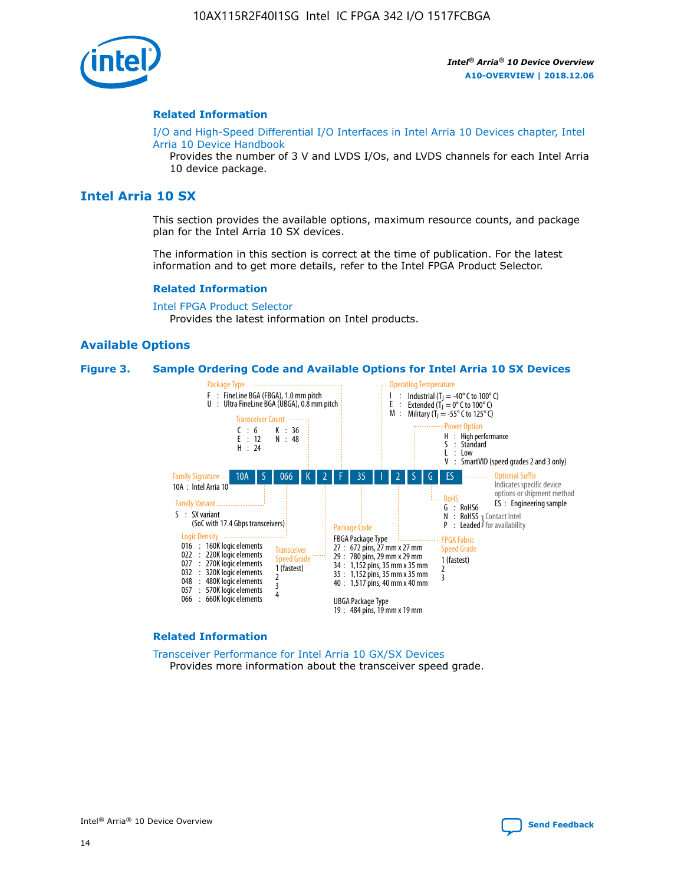

#### **Related Information**

[I/O and High-Speed Differential I/O Interfaces in Intel Arria 10 Devices chapter, Intel](https://www.intel.com/content/www/us/en/programmable/documentation/sam1403482614086.html#sam1403482030321) [Arria 10 Device Handbook](https://www.intel.com/content/www/us/en/programmable/documentation/sam1403482614086.html#sam1403482030321)

Provides the number of 3 V and LVDS I/Os, and LVDS channels for each Intel Arria 10 device package.

## **Intel Arria 10 SX**

This section provides the available options, maximum resource counts, and package plan for the Intel Arria 10 SX devices.

The information in this section is correct at the time of publication. For the latest information and to get more details, refer to the Intel FPGA Product Selector.

#### **Related Information**

[Intel FPGA Product Selector](http://www.altera.com/products/selector/psg-selector.html) Provides the latest information on Intel products.

## **Available Options**

#### **Figure 3. Sample Ordering Code and Available Options for Intel Arria 10 SX Devices**



#### **Related Information**

[Transceiver Performance for Intel Arria 10 GX/SX Devices](https://www.intel.com/content/www/us/en/programmable/documentation/mcn1413182292568.html#mcn1413213965502) Provides more information about the transceiver speed grade.

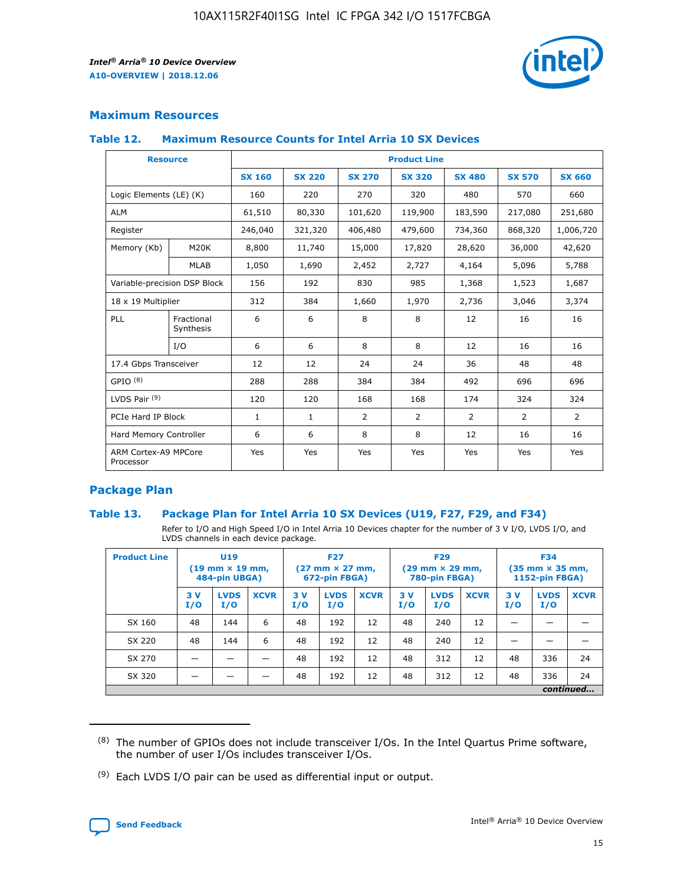

## **Maximum Resources**

#### **Table 12. Maximum Resource Counts for Intel Arria 10 SX Devices**

| <b>Resource</b>                   |                         | <b>Product Line</b> |               |                |                |                |                |                |  |  |  |
|-----------------------------------|-------------------------|---------------------|---------------|----------------|----------------|----------------|----------------|----------------|--|--|--|
|                                   |                         | <b>SX 160</b>       | <b>SX 220</b> | <b>SX 270</b>  | <b>SX 320</b>  | <b>SX 480</b>  | <b>SX 570</b>  | <b>SX 660</b>  |  |  |  |
| Logic Elements (LE) (K)           |                         | 160                 | 220           | 270            | 320            | 480            | 570            | 660            |  |  |  |
| <b>ALM</b>                        |                         | 61,510              | 80,330        | 101,620        | 119,900        | 183,590        | 217,080        | 251,680        |  |  |  |
| Register                          |                         | 246,040             | 321,320       | 406,480        | 479,600        | 734,360        | 868,320        | 1,006,720      |  |  |  |
| Memory (Kb)                       | M <sub>20</sub> K       | 8,800               | 11,740        | 15,000         | 17,820         | 28,620         | 36,000         | 42,620         |  |  |  |
|                                   | <b>MLAB</b>             | 1,050               | 1,690         | 2,452          | 2,727          | 4,164          | 5,096          | 5,788          |  |  |  |
| Variable-precision DSP Block      |                         | 156                 | 192           | 830            | 985            | 1,368          | 1,523          | 1,687          |  |  |  |
| 18 x 19 Multiplier                |                         | 312                 | 384           | 1,660          | 1,970          | 2,736          | 3,046          | 3,374          |  |  |  |
| PLL                               | Fractional<br>Synthesis | 6                   | 6             | 8              | 8              | 12             | 16             | 16             |  |  |  |
|                                   | I/O                     | 6                   | 6             | 8              | 8              | 12             | 16             | 16             |  |  |  |
| 17.4 Gbps Transceiver             |                         | 12                  | 12            | 24             | 24             | 36             | 48             | 48             |  |  |  |
| GPIO <sup>(8)</sup>               |                         | 288                 | 288           | 384            | 384            | 492            | 696            | 696            |  |  |  |
| LVDS Pair $(9)$                   |                         | 120                 | 120           | 168            | 168            | 174            | 324            | 324            |  |  |  |
| PCIe Hard IP Block                |                         | $\mathbf{1}$        | $\mathbf{1}$  | $\overline{2}$ | $\overline{2}$ | $\overline{2}$ | $\overline{2}$ | $\overline{2}$ |  |  |  |
| Hard Memory Controller            |                         | 6                   | 6             | 8              | 8              | 12             | 16             | 16             |  |  |  |
| ARM Cortex-A9 MPCore<br>Processor |                         | Yes                 | Yes           | Yes            | Yes            | Yes            | Yes            | <b>Yes</b>     |  |  |  |

## **Package Plan**

## **Table 13. Package Plan for Intel Arria 10 SX Devices (U19, F27, F29, and F34)**

Refer to I/O and High Speed I/O in Intel Arria 10 Devices chapter for the number of 3 V I/O, LVDS I/O, and LVDS channels in each device package.

| <b>Product Line</b> | U <sub>19</sub><br>$(19 \text{ mm} \times 19 \text{ mm})$<br>484-pin UBGA) |                    |             | <b>F27</b><br>$(27 \text{ mm} \times 27 \text{ mm})$ .<br>672-pin FBGA) |                    | <b>F29</b><br>$(29 \text{ mm} \times 29 \text{ mm})$ .<br>780-pin FBGA) |            |                    | <b>F34</b><br>$(35 \text{ mm} \times 35 \text{ mm})$<br><b>1152-pin FBGA)</b> |           |                    |             |
|---------------------|----------------------------------------------------------------------------|--------------------|-------------|-------------------------------------------------------------------------|--------------------|-------------------------------------------------------------------------|------------|--------------------|-------------------------------------------------------------------------------|-----------|--------------------|-------------|
|                     | 3V<br>I/O                                                                  | <b>LVDS</b><br>I/O | <b>XCVR</b> | 3V<br>I/O                                                               | <b>LVDS</b><br>I/O | <b>XCVR</b>                                                             | 3 V<br>I/O | <b>LVDS</b><br>I/O | <b>XCVR</b>                                                                   | 3V<br>I/O | <b>LVDS</b><br>I/O | <b>XCVR</b> |
| SX 160              | 48                                                                         | 144                | 6           | 48                                                                      | 192                | 12                                                                      | 48         | 240                | 12                                                                            |           |                    |             |
| SX 220              | 48                                                                         | 144                | 6           | 48                                                                      | 192                | 12                                                                      | 48         | 240                | 12                                                                            |           |                    |             |
| SX 270              |                                                                            |                    |             | 48                                                                      | 192                | 12                                                                      | 48         | 312                | 12                                                                            | 48        | 336                | 24          |
| SX 320              |                                                                            |                    |             | 48                                                                      | 192                | 12                                                                      | 48         | 312                | 12                                                                            | 48        | 336                | 24          |
|                     | continued                                                                  |                    |             |                                                                         |                    |                                                                         |            |                    |                                                                               |           |                    |             |

 $(8)$  The number of GPIOs does not include transceiver I/Os. In the Intel Quartus Prime software, the number of user I/Os includes transceiver I/Os.

 $(9)$  Each LVDS I/O pair can be used as differential input or output.

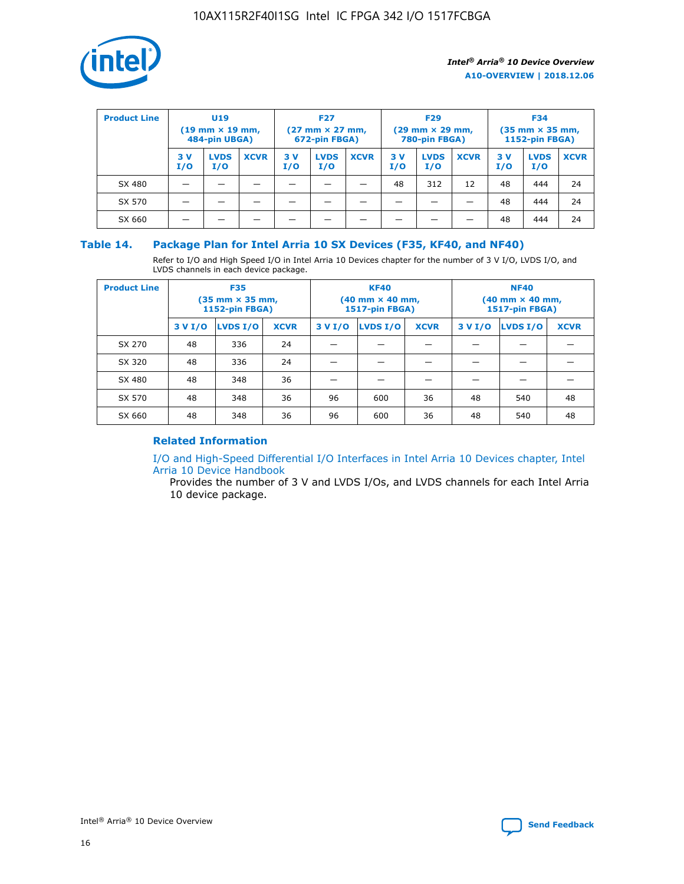

| <b>Product Line</b> | U <sub>19</sub><br>$(19 \text{ mm} \times 19 \text{ mm})$<br>484-pin UBGA) |                    | <b>F27</b><br>$(27 \text{ mm} \times 27 \text{ mm})$<br>672-pin FBGA) |           |                    | <b>F29</b><br>$(29$ mm $\times$ 29 mm,<br>780-pin FBGA) |           |                    | <b>F34</b><br>$(35$ mm $\times$ 35 mm,<br><b>1152-pin FBGA)</b> |           |                    |             |
|---------------------|----------------------------------------------------------------------------|--------------------|-----------------------------------------------------------------------|-----------|--------------------|---------------------------------------------------------|-----------|--------------------|-----------------------------------------------------------------|-----------|--------------------|-------------|
|                     | 3V<br>I/O                                                                  | <b>LVDS</b><br>I/O | <b>XCVR</b>                                                           | 3V<br>I/O | <b>LVDS</b><br>I/O | <b>XCVR</b>                                             | 3V<br>I/O | <b>LVDS</b><br>I/O | <b>XCVR</b>                                                     | 3V<br>I/O | <b>LVDS</b><br>I/O | <b>XCVR</b> |
| SX 480              |                                                                            |                    |                                                                       |           |                    |                                                         | 48        | 312                | 12                                                              | 48        | 444                | 24          |
| SX 570              |                                                                            |                    |                                                                       |           |                    |                                                         |           |                    |                                                                 | 48        | 444                | 24          |
| SX 660              |                                                                            |                    |                                                                       |           |                    |                                                         |           |                    |                                                                 | 48        | 444                | 24          |

## **Table 14. Package Plan for Intel Arria 10 SX Devices (F35, KF40, and NF40)**

Refer to I/O and High Speed I/O in Intel Arria 10 Devices chapter for the number of 3 V I/O, LVDS I/O, and LVDS channels in each device package.

| <b>Product Line</b> | <b>F35</b><br>$(35 \text{ mm} \times 35 \text{ mm})$<br><b>1152-pin FBGA)</b> |          |             |                                           | <b>KF40</b><br>(40 mm × 40 mm,<br>1517-pin FBGA) |    | <b>NF40</b><br>$(40 \text{ mm} \times 40 \text{ mm})$<br>1517-pin FBGA) |          |             |  |
|---------------------|-------------------------------------------------------------------------------|----------|-------------|-------------------------------------------|--------------------------------------------------|----|-------------------------------------------------------------------------|----------|-------------|--|
|                     | 3 V I/O                                                                       | LVDS I/O | <b>XCVR</b> | <b>LVDS I/O</b><br><b>XCVR</b><br>3 V I/O |                                                  |    | 3 V I/O                                                                 | LVDS I/O | <b>XCVR</b> |  |
| SX 270              | 48                                                                            | 336      | 24          |                                           |                                                  |    |                                                                         |          |             |  |
| SX 320              | 48                                                                            | 336      | 24          |                                           |                                                  |    |                                                                         |          |             |  |
| SX 480              | 48                                                                            | 348      | 36          |                                           |                                                  |    |                                                                         |          |             |  |
| SX 570              | 48                                                                            | 348      | 36          | 96                                        | 600                                              | 36 | 48                                                                      | 540      | 48          |  |
| SX 660              | 48                                                                            | 348      | 36          | 96                                        | 600                                              | 36 | 48                                                                      | 540      | 48          |  |

## **Related Information**

[I/O and High-Speed Differential I/O Interfaces in Intel Arria 10 Devices chapter, Intel](https://www.intel.com/content/www/us/en/programmable/documentation/sam1403482614086.html#sam1403482030321) [Arria 10 Device Handbook](https://www.intel.com/content/www/us/en/programmable/documentation/sam1403482614086.html#sam1403482030321)

Provides the number of 3 V and LVDS I/Os, and LVDS channels for each Intel Arria 10 device package.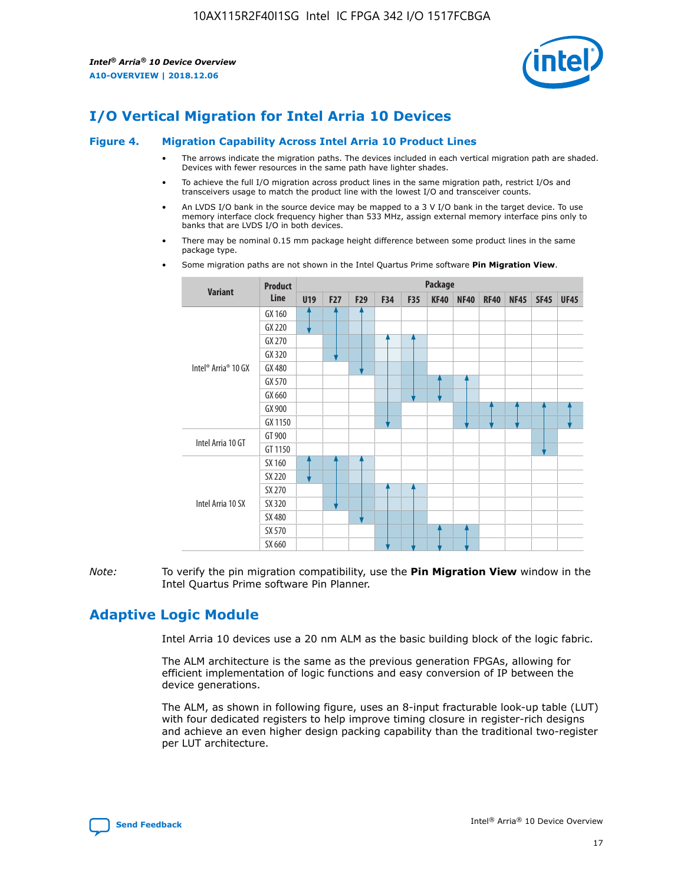

# **I/O Vertical Migration for Intel Arria 10 Devices**

#### **Figure 4. Migration Capability Across Intel Arria 10 Product Lines**

- The arrows indicate the migration paths. The devices included in each vertical migration path are shaded. Devices with fewer resources in the same path have lighter shades.
- To achieve the full I/O migration across product lines in the same migration path, restrict I/Os and transceivers usage to match the product line with the lowest I/O and transceiver counts.
- An LVDS I/O bank in the source device may be mapped to a 3 V I/O bank in the target device. To use memory interface clock frequency higher than 533 MHz, assign external memory interface pins only to banks that are LVDS I/O in both devices.
- There may be nominal 0.15 mm package height difference between some product lines in the same package type.
	- **Variant Product Line Package U19 F27 F29 F34 F35 KF40 NF40 RF40 NF45 SF45 UF45** Intel® Arria® 10 GX GX 160 GX 220 GX 270 GX 320 GX 480 GX 570 GX 660 GX 900 GX 1150 Intel Arria 10 GT GT 900 GT 1150 Intel Arria 10 SX SX 160 SX 220 SX 270 SX 320 SX 480 SX 570 SX 660
- Some migration paths are not shown in the Intel Quartus Prime software **Pin Migration View**.

*Note:* To verify the pin migration compatibility, use the **Pin Migration View** window in the Intel Quartus Prime software Pin Planner.

# **Adaptive Logic Module**

Intel Arria 10 devices use a 20 nm ALM as the basic building block of the logic fabric.

The ALM architecture is the same as the previous generation FPGAs, allowing for efficient implementation of logic functions and easy conversion of IP between the device generations.

The ALM, as shown in following figure, uses an 8-input fracturable look-up table (LUT) with four dedicated registers to help improve timing closure in register-rich designs and achieve an even higher design packing capability than the traditional two-register per LUT architecture.

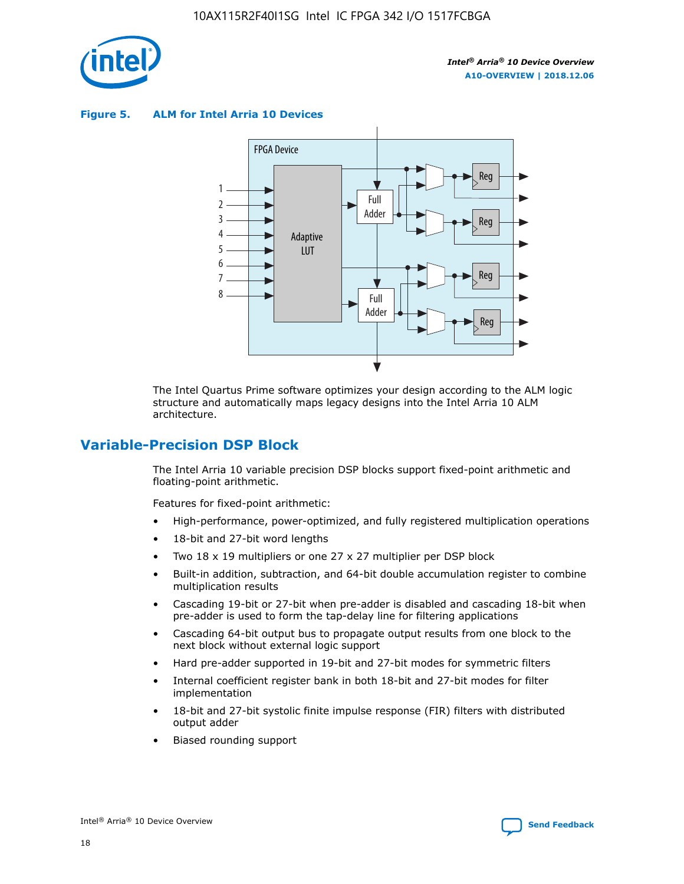

**Figure 5. ALM for Intel Arria 10 Devices**



The Intel Quartus Prime software optimizes your design according to the ALM logic structure and automatically maps legacy designs into the Intel Arria 10 ALM architecture.

## **Variable-Precision DSP Block**

The Intel Arria 10 variable precision DSP blocks support fixed-point arithmetic and floating-point arithmetic.

Features for fixed-point arithmetic:

- High-performance, power-optimized, and fully registered multiplication operations
- 18-bit and 27-bit word lengths
- Two 18 x 19 multipliers or one 27 x 27 multiplier per DSP block
- Built-in addition, subtraction, and 64-bit double accumulation register to combine multiplication results
- Cascading 19-bit or 27-bit when pre-adder is disabled and cascading 18-bit when pre-adder is used to form the tap-delay line for filtering applications
- Cascading 64-bit output bus to propagate output results from one block to the next block without external logic support
- Hard pre-adder supported in 19-bit and 27-bit modes for symmetric filters
- Internal coefficient register bank in both 18-bit and 27-bit modes for filter implementation
- 18-bit and 27-bit systolic finite impulse response (FIR) filters with distributed output adder
- Biased rounding support

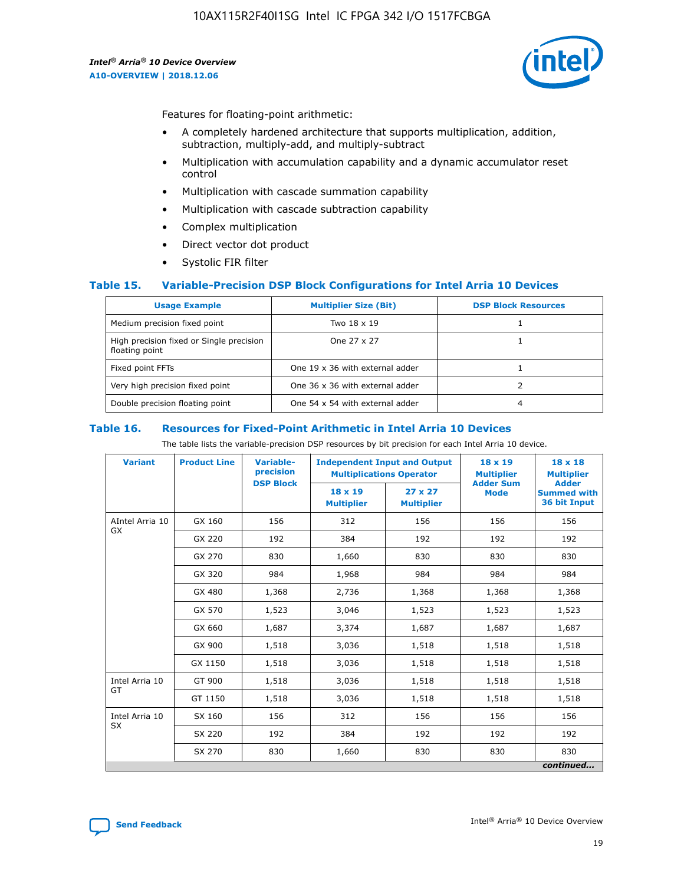

Features for floating-point arithmetic:

- A completely hardened architecture that supports multiplication, addition, subtraction, multiply-add, and multiply-subtract
- Multiplication with accumulation capability and a dynamic accumulator reset control
- Multiplication with cascade summation capability
- Multiplication with cascade subtraction capability
- Complex multiplication
- Direct vector dot product
- Systolic FIR filter

## **Table 15. Variable-Precision DSP Block Configurations for Intel Arria 10 Devices**

| <b>Usage Example</b>                                       | <b>Multiplier Size (Bit)</b>    | <b>DSP Block Resources</b> |
|------------------------------------------------------------|---------------------------------|----------------------------|
| Medium precision fixed point                               | Two 18 x 19                     |                            |
| High precision fixed or Single precision<br>floating point | One 27 x 27                     |                            |
| Fixed point FFTs                                           | One 19 x 36 with external adder |                            |
| Very high precision fixed point                            | One 36 x 36 with external adder |                            |
| Double precision floating point                            | One 54 x 54 with external adder | 4                          |

#### **Table 16. Resources for Fixed-Point Arithmetic in Intel Arria 10 Devices**

The table lists the variable-precision DSP resources by bit precision for each Intel Arria 10 device.

| <b>Variant</b>  | <b>Product Line</b> | <b>Variable-</b><br>precision<br><b>DSP Block</b> | <b>Independent Input and Output</b><br><b>Multiplications Operator</b> |                                     | 18 x 19<br><b>Multiplier</b><br><b>Adder Sum</b> | $18 \times 18$<br><b>Multiplier</b><br><b>Adder</b> |
|-----------------|---------------------|---------------------------------------------------|------------------------------------------------------------------------|-------------------------------------|--------------------------------------------------|-----------------------------------------------------|
|                 |                     |                                                   | 18 x 19<br><b>Multiplier</b>                                           | $27 \times 27$<br><b>Multiplier</b> | <b>Mode</b>                                      | <b>Summed with</b><br>36 bit Input                  |
| AIntel Arria 10 | GX 160              | 156                                               | 312                                                                    | 156                                 | 156                                              | 156                                                 |
| GX              | GX 220              | 192                                               | 384                                                                    | 192                                 | 192                                              | 192                                                 |
|                 | GX 270              | 830                                               | 1,660                                                                  | 830                                 | 830                                              | 830                                                 |
|                 | GX 320              | 984                                               | 1,968                                                                  | 984                                 | 984                                              | 984                                                 |
|                 | GX 480              | 1,368                                             | 2,736                                                                  | 1,368                               | 1,368                                            | 1,368                                               |
|                 | GX 570              | 1,523                                             | 3,046                                                                  | 1,523                               | 1,523                                            | 1,523                                               |
|                 | GX 660              | 1,687                                             | 3,374                                                                  | 1,687                               | 1,687                                            | 1,687                                               |
|                 | GX 900              | 1,518                                             | 3,036                                                                  | 1,518                               | 1,518                                            | 1,518                                               |
|                 | GX 1150             | 1,518                                             | 3,036                                                                  | 1,518                               | 1,518                                            | 1,518                                               |
| Intel Arria 10  | GT 900              | 1,518                                             | 3,036                                                                  | 1,518                               | 1,518                                            | 1,518                                               |
| GT              | GT 1150             | 1,518                                             | 3,036                                                                  | 1,518                               | 1,518                                            | 1,518                                               |
| Intel Arria 10  | SX 160              | 156                                               | 312                                                                    | 156                                 | 156                                              | 156                                                 |
| <b>SX</b>       | SX 220              | 192                                               | 384                                                                    | 192                                 | 192                                              | 192                                                 |
|                 | SX 270              | 830                                               | 1,660                                                                  | 830                                 | 830                                              | 830                                                 |
|                 |                     |                                                   |                                                                        |                                     |                                                  | continued                                           |

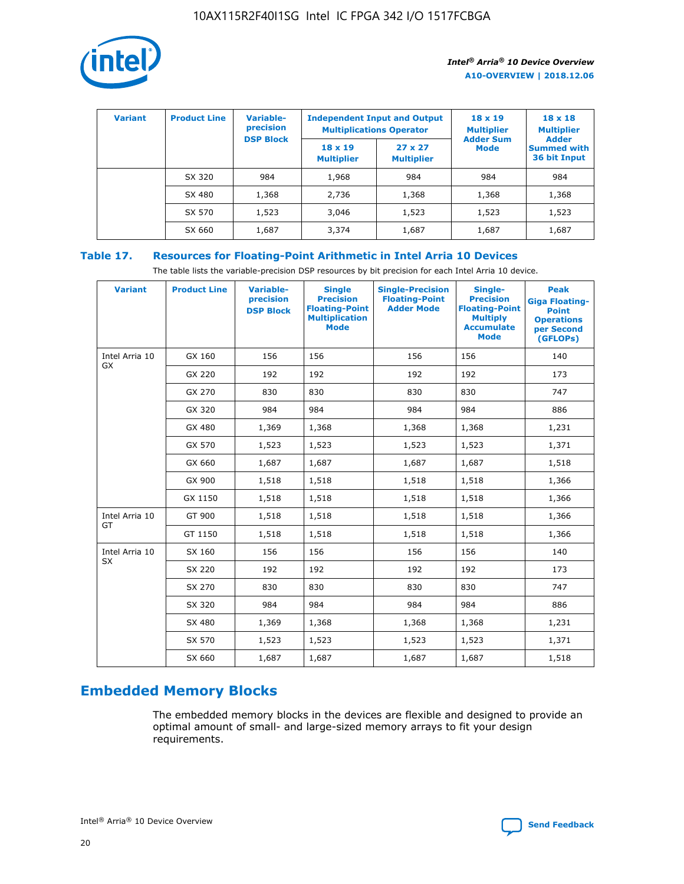

| <b>Variant</b> | <b>Product Line</b> | Variable-<br>precision | <b>Multiplications Operator</b>     | <b>Independent Input and Output</b> | $18 \times 19$<br><b>Multiplier</b> | $18 \times 18$<br><b>Multiplier</b><br><b>Adder</b> |  |
|----------------|---------------------|------------------------|-------------------------------------|-------------------------------------|-------------------------------------|-----------------------------------------------------|--|
|                |                     | <b>DSP Block</b>       | $18 \times 19$<br><b>Multiplier</b> | $27 \times 27$<br><b>Multiplier</b> | <b>Adder Sum</b><br><b>Mode</b>     | <b>Summed with</b><br>36 bit Input                  |  |
|                | SX 320              | 984                    | 1,968                               | 984                                 | 984                                 | 984                                                 |  |
|                | SX 480              | 1,368                  | 2,736                               | 1,368                               | 1,368                               | 1,368                                               |  |
|                | SX 570              | 1,523                  | 3,046                               | 1,523                               | 1,523                               | 1,523                                               |  |
|                | SX 660              | 1,687                  | 3,374                               | 1,687                               | 1,687                               | 1,687                                               |  |

## **Table 17. Resources for Floating-Point Arithmetic in Intel Arria 10 Devices**

The table lists the variable-precision DSP resources by bit precision for each Intel Arria 10 device.

| <b>Variant</b> | <b>Product Line</b> | <b>Variable-</b><br>precision<br><b>DSP Block</b> | <b>Single</b><br><b>Precision</b><br><b>Floating-Point</b><br><b>Multiplication</b><br><b>Mode</b> | <b>Single-Precision</b><br><b>Floating-Point</b><br><b>Adder Mode</b> | Single-<br><b>Precision</b><br><b>Floating-Point</b><br><b>Multiply</b><br><b>Accumulate</b><br><b>Mode</b> | <b>Peak</b><br><b>Giga Floating-</b><br><b>Point</b><br><b>Operations</b><br>per Second<br>(GFLOPs) |
|----------------|---------------------|---------------------------------------------------|----------------------------------------------------------------------------------------------------|-----------------------------------------------------------------------|-------------------------------------------------------------------------------------------------------------|-----------------------------------------------------------------------------------------------------|
| Intel Arria 10 | GX 160              | 156                                               | 156                                                                                                | 156                                                                   | 156                                                                                                         | 140                                                                                                 |
| <b>GX</b>      | GX 220              | 192                                               | 192                                                                                                | 192                                                                   | 192                                                                                                         | 173                                                                                                 |
|                | GX 270              | 830                                               | 830                                                                                                | 830                                                                   | 830                                                                                                         | 747                                                                                                 |
|                | GX 320              | 984                                               | 984                                                                                                | 984                                                                   | 984                                                                                                         | 886                                                                                                 |
|                | GX 480              | 1,369                                             | 1,368                                                                                              | 1,368                                                                 | 1,368                                                                                                       | 1,231                                                                                               |
|                | GX 570              | 1,523                                             | 1,523                                                                                              | 1,523                                                                 | 1,523                                                                                                       | 1,371                                                                                               |
|                | GX 660              | 1,687                                             | 1,687                                                                                              | 1,687                                                                 | 1,687                                                                                                       | 1,518                                                                                               |
|                | GX 900              | 1,518                                             | 1,518                                                                                              | 1,518                                                                 | 1,518                                                                                                       | 1,366                                                                                               |
|                | GX 1150             | 1,518                                             | 1,518                                                                                              | 1,518                                                                 | 1,518                                                                                                       | 1,366                                                                                               |
| Intel Arria 10 | GT 900              | 1,518                                             | 1,518                                                                                              | 1,518                                                                 | 1,518                                                                                                       | 1,366                                                                                               |
| GT             | GT 1150             | 1,518                                             | 1,518                                                                                              | 1,518                                                                 | 1,518                                                                                                       | 1,366                                                                                               |
| Intel Arria 10 | SX 160              | 156                                               | 156                                                                                                | 156                                                                   | 156                                                                                                         | 140                                                                                                 |
| SX             | SX 220              | 192                                               | 192                                                                                                | 192                                                                   | 192                                                                                                         | 173                                                                                                 |
|                | SX 270              | 830                                               | 830                                                                                                | 830                                                                   | 830                                                                                                         | 747                                                                                                 |
|                | SX 320              | 984                                               | 984                                                                                                | 984                                                                   | 984                                                                                                         | 886                                                                                                 |
|                | SX 480              | 1,369                                             | 1,368                                                                                              | 1,368                                                                 | 1,368                                                                                                       | 1,231                                                                                               |
|                | SX 570              | 1,523                                             | 1,523                                                                                              | 1,523                                                                 | 1,523                                                                                                       | 1,371                                                                                               |
|                | SX 660              | 1,687                                             | 1,687                                                                                              | 1,687                                                                 | 1,687                                                                                                       | 1,518                                                                                               |

# **Embedded Memory Blocks**

The embedded memory blocks in the devices are flexible and designed to provide an optimal amount of small- and large-sized memory arrays to fit your design requirements.

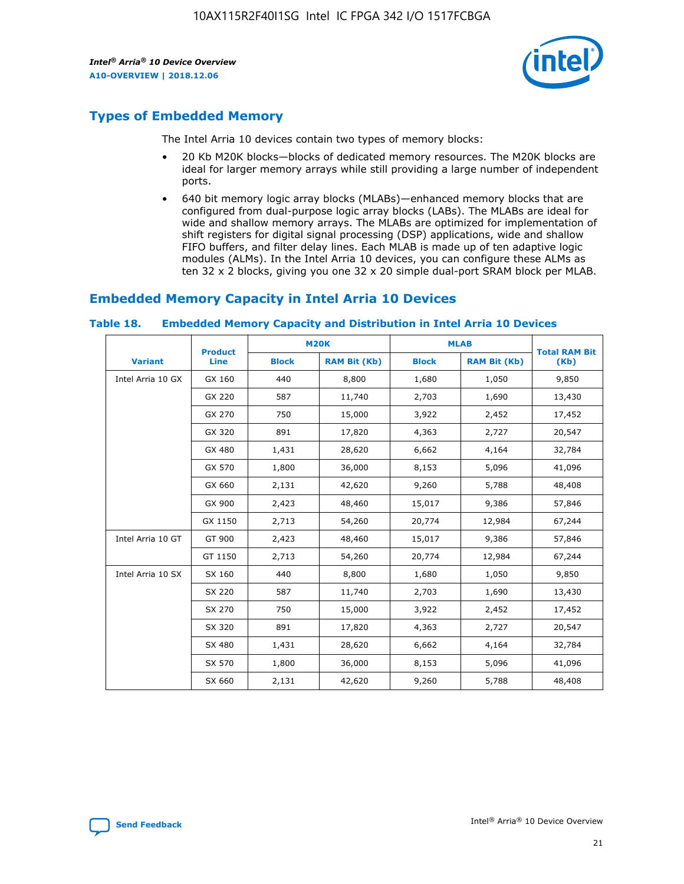

# **Types of Embedded Memory**

The Intel Arria 10 devices contain two types of memory blocks:

- 20 Kb M20K blocks—blocks of dedicated memory resources. The M20K blocks are ideal for larger memory arrays while still providing a large number of independent ports.
- 640 bit memory logic array blocks (MLABs)—enhanced memory blocks that are configured from dual-purpose logic array blocks (LABs). The MLABs are ideal for wide and shallow memory arrays. The MLABs are optimized for implementation of shift registers for digital signal processing (DSP) applications, wide and shallow FIFO buffers, and filter delay lines. Each MLAB is made up of ten adaptive logic modules (ALMs). In the Intel Arria 10 devices, you can configure these ALMs as ten 32 x 2 blocks, giving you one 32 x 20 simple dual-port SRAM block per MLAB.

## **Embedded Memory Capacity in Intel Arria 10 Devices**

|                   | <b>Product</b> |              | <b>M20K</b>         | <b>MLAB</b>  |                     | <b>Total RAM Bit</b> |
|-------------------|----------------|--------------|---------------------|--------------|---------------------|----------------------|
| <b>Variant</b>    | Line           | <b>Block</b> | <b>RAM Bit (Kb)</b> | <b>Block</b> | <b>RAM Bit (Kb)</b> | (Kb)                 |
| Intel Arria 10 GX | GX 160         | 440          | 8,800               | 1,680        | 1,050               | 9,850                |
|                   | GX 220         | 587          | 11,740              | 2,703        | 1,690               | 13,430               |
|                   | GX 270         | 750          | 15,000              | 3,922        | 2,452               | 17,452               |
|                   | GX 320         | 891          | 17,820              | 4,363        | 2,727               | 20,547               |
|                   | GX 480         | 1,431        | 28,620              | 6,662        | 4,164               | 32,784               |
|                   | GX 570         | 1,800        | 36,000              | 8,153        | 5,096               | 41,096               |
|                   | GX 660         | 2,131        | 42,620              | 9,260        | 5,788               | 48,408               |
|                   | GX 900         | 2,423        | 48,460              | 15,017       | 9,386               | 57,846               |
|                   | GX 1150        | 2,713        | 54,260              | 20,774       | 12,984              | 67,244               |
| Intel Arria 10 GT | GT 900         | 2,423        | 48,460              | 15,017       | 9,386               | 57,846               |
|                   | GT 1150        | 2,713        | 54,260              | 20,774       | 12,984              | 67,244               |
| Intel Arria 10 SX | SX 160         | 440          | 8,800               | 1,680        | 1,050               | 9,850                |
|                   | SX 220         | 587          | 11,740              | 2,703        | 1,690               | 13,430               |
|                   | SX 270         | 750          | 15,000              | 3,922        | 2,452               | 17,452               |
|                   | SX 320         | 891          | 17,820              | 4,363        | 2,727               | 20,547               |
|                   | SX 480         | 1,431        | 28,620              | 6,662        | 4,164               | 32,784               |
|                   | SX 570         | 1,800        | 36,000              | 8,153        | 5,096               | 41,096               |
|                   | SX 660         | 2,131        | 42,620              | 9,260        | 5,788               | 48,408               |

#### **Table 18. Embedded Memory Capacity and Distribution in Intel Arria 10 Devices**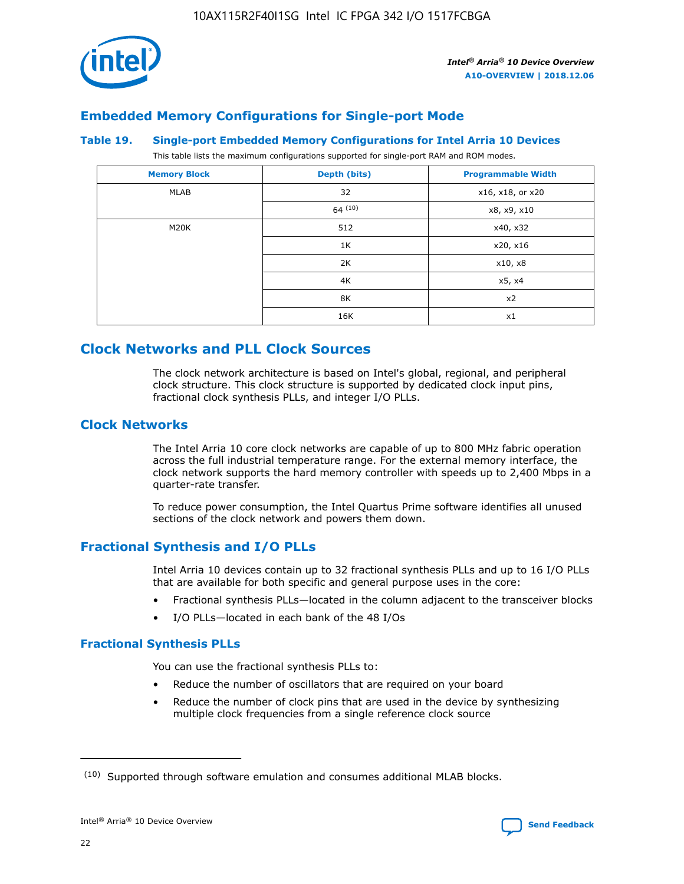

## **Embedded Memory Configurations for Single-port Mode**

#### **Table 19. Single-port Embedded Memory Configurations for Intel Arria 10 Devices**

This table lists the maximum configurations supported for single-port RAM and ROM modes.

| <b>Memory Block</b> | Depth (bits) | <b>Programmable Width</b> |
|---------------------|--------------|---------------------------|
| MLAB                | 32           | x16, x18, or x20          |
|                     | 64(10)       | x8, x9, x10               |
| M20K                | 512          | x40, x32                  |
|                     | 1K           | x20, x16                  |
|                     | 2K           | x10, x8                   |
|                     | 4K           | x5, x4                    |
|                     | 8K           | x2                        |
|                     | 16K          | x1                        |

# **Clock Networks and PLL Clock Sources**

The clock network architecture is based on Intel's global, regional, and peripheral clock structure. This clock structure is supported by dedicated clock input pins, fractional clock synthesis PLLs, and integer I/O PLLs.

## **Clock Networks**

The Intel Arria 10 core clock networks are capable of up to 800 MHz fabric operation across the full industrial temperature range. For the external memory interface, the clock network supports the hard memory controller with speeds up to 2,400 Mbps in a quarter-rate transfer.

To reduce power consumption, the Intel Quartus Prime software identifies all unused sections of the clock network and powers them down.

## **Fractional Synthesis and I/O PLLs**

Intel Arria 10 devices contain up to 32 fractional synthesis PLLs and up to 16 I/O PLLs that are available for both specific and general purpose uses in the core:

- Fractional synthesis PLLs—located in the column adjacent to the transceiver blocks
- I/O PLLs—located in each bank of the 48 I/Os

## **Fractional Synthesis PLLs**

You can use the fractional synthesis PLLs to:

- Reduce the number of oscillators that are required on your board
- Reduce the number of clock pins that are used in the device by synthesizing multiple clock frequencies from a single reference clock source

<sup>(10)</sup> Supported through software emulation and consumes additional MLAB blocks.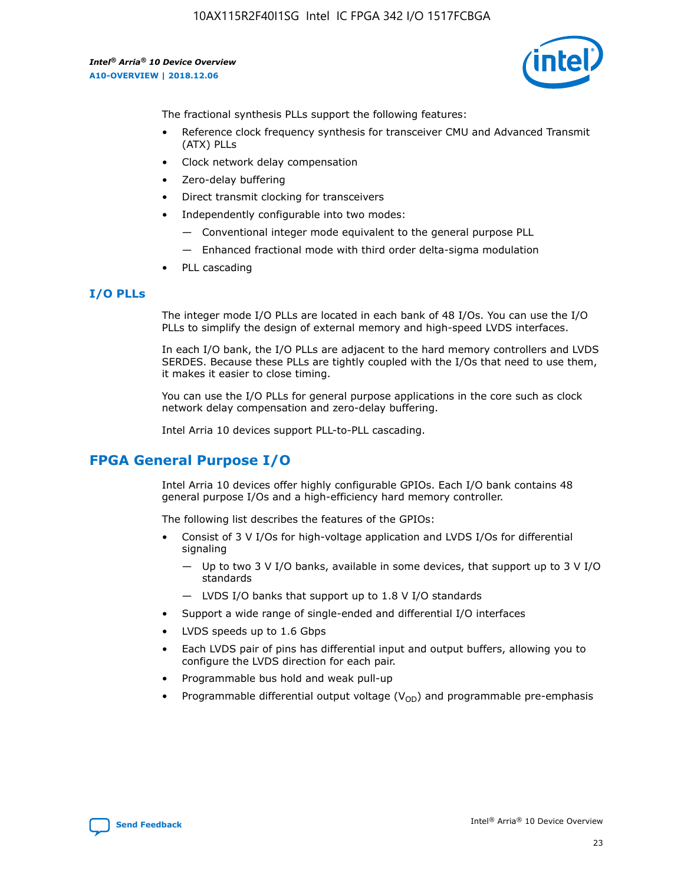

The fractional synthesis PLLs support the following features:

- Reference clock frequency synthesis for transceiver CMU and Advanced Transmit (ATX) PLLs
- Clock network delay compensation
- Zero-delay buffering
- Direct transmit clocking for transceivers
- Independently configurable into two modes:
	- Conventional integer mode equivalent to the general purpose PLL
	- Enhanced fractional mode with third order delta-sigma modulation
- PLL cascading

## **I/O PLLs**

The integer mode I/O PLLs are located in each bank of 48 I/Os. You can use the I/O PLLs to simplify the design of external memory and high-speed LVDS interfaces.

In each I/O bank, the I/O PLLs are adjacent to the hard memory controllers and LVDS SERDES. Because these PLLs are tightly coupled with the I/Os that need to use them, it makes it easier to close timing.

You can use the I/O PLLs for general purpose applications in the core such as clock network delay compensation and zero-delay buffering.

Intel Arria 10 devices support PLL-to-PLL cascading.

# **FPGA General Purpose I/O**

Intel Arria 10 devices offer highly configurable GPIOs. Each I/O bank contains 48 general purpose I/Os and a high-efficiency hard memory controller.

The following list describes the features of the GPIOs:

- Consist of 3 V I/Os for high-voltage application and LVDS I/Os for differential signaling
	- Up to two 3 V I/O banks, available in some devices, that support up to 3 V I/O standards
	- LVDS I/O banks that support up to 1.8 V I/O standards
- Support a wide range of single-ended and differential I/O interfaces
- LVDS speeds up to 1.6 Gbps
- Each LVDS pair of pins has differential input and output buffers, allowing you to configure the LVDS direction for each pair.
- Programmable bus hold and weak pull-up
- Programmable differential output voltage  $(V_{OD})$  and programmable pre-emphasis

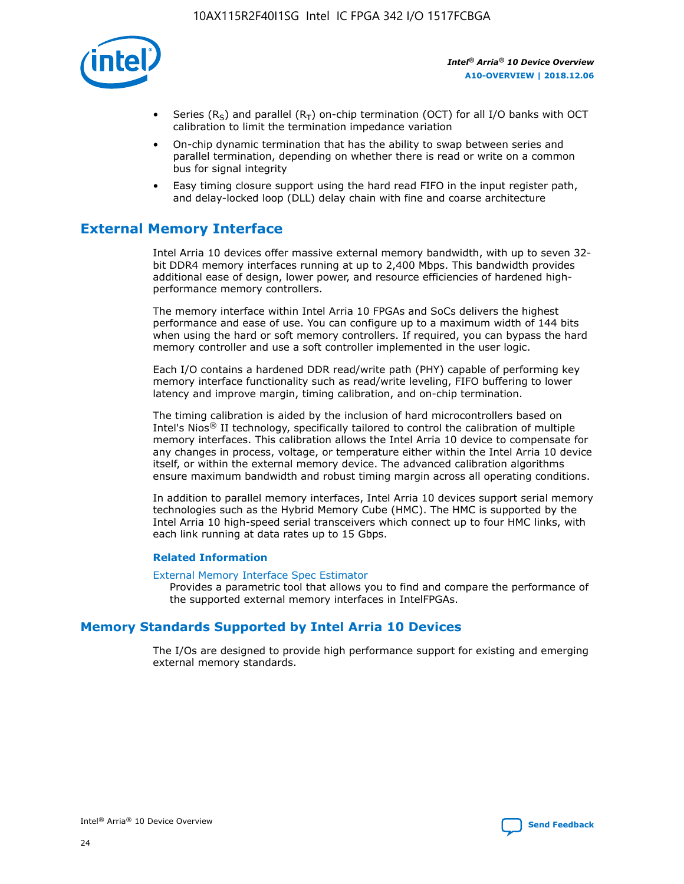

- Series (R<sub>S</sub>) and parallel (R<sub>T</sub>) on-chip termination (OCT) for all I/O banks with OCT calibration to limit the termination impedance variation
- On-chip dynamic termination that has the ability to swap between series and parallel termination, depending on whether there is read or write on a common bus for signal integrity
- Easy timing closure support using the hard read FIFO in the input register path, and delay-locked loop (DLL) delay chain with fine and coarse architecture

# **External Memory Interface**

Intel Arria 10 devices offer massive external memory bandwidth, with up to seven 32 bit DDR4 memory interfaces running at up to 2,400 Mbps. This bandwidth provides additional ease of design, lower power, and resource efficiencies of hardened highperformance memory controllers.

The memory interface within Intel Arria 10 FPGAs and SoCs delivers the highest performance and ease of use. You can configure up to a maximum width of 144 bits when using the hard or soft memory controllers. If required, you can bypass the hard memory controller and use a soft controller implemented in the user logic.

Each I/O contains a hardened DDR read/write path (PHY) capable of performing key memory interface functionality such as read/write leveling, FIFO buffering to lower latency and improve margin, timing calibration, and on-chip termination.

The timing calibration is aided by the inclusion of hard microcontrollers based on Intel's Nios® II technology, specifically tailored to control the calibration of multiple memory interfaces. This calibration allows the Intel Arria 10 device to compensate for any changes in process, voltage, or temperature either within the Intel Arria 10 device itself, or within the external memory device. The advanced calibration algorithms ensure maximum bandwidth and robust timing margin across all operating conditions.

In addition to parallel memory interfaces, Intel Arria 10 devices support serial memory technologies such as the Hybrid Memory Cube (HMC). The HMC is supported by the Intel Arria 10 high-speed serial transceivers which connect up to four HMC links, with each link running at data rates up to 15 Gbps.

## **Related Information**

#### [External Memory Interface Spec Estimator](http://www.altera.com/technology/memory/estimator/mem-emif-index.html)

Provides a parametric tool that allows you to find and compare the performance of the supported external memory interfaces in IntelFPGAs.

## **Memory Standards Supported by Intel Arria 10 Devices**

The I/Os are designed to provide high performance support for existing and emerging external memory standards.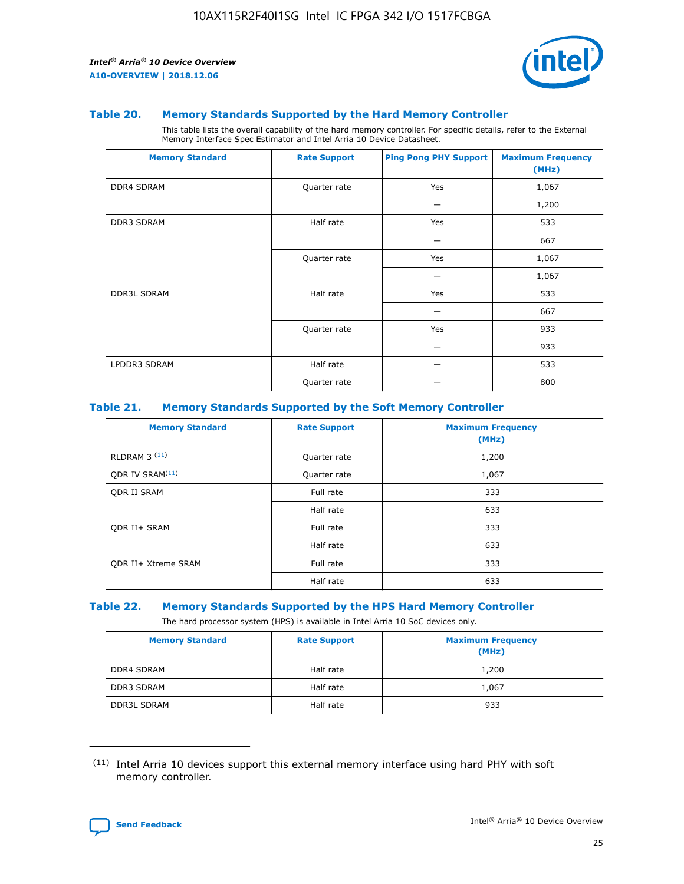

#### **Table 20. Memory Standards Supported by the Hard Memory Controller**

This table lists the overall capability of the hard memory controller. For specific details, refer to the External Memory Interface Spec Estimator and Intel Arria 10 Device Datasheet.

| <b>Memory Standard</b> | <b>Rate Support</b> | <b>Ping Pong PHY Support</b> | <b>Maximum Frequency</b><br>(MHz) |
|------------------------|---------------------|------------------------------|-----------------------------------|
| <b>DDR4 SDRAM</b>      | Quarter rate        | Yes                          | 1,067                             |
|                        |                     |                              | 1,200                             |
| DDR3 SDRAM             | Half rate           | Yes                          | 533                               |
|                        |                     |                              | 667                               |
|                        | Quarter rate        | Yes                          | 1,067                             |
|                        |                     |                              | 1,067                             |
| <b>DDR3L SDRAM</b>     | Half rate           | Yes                          | 533                               |
|                        |                     |                              | 667                               |
|                        | Quarter rate        | Yes                          | 933                               |
|                        |                     |                              | 933                               |
| LPDDR3 SDRAM           | Half rate           |                              | 533                               |
|                        | Quarter rate        |                              | 800                               |

#### **Table 21. Memory Standards Supported by the Soft Memory Controller**

| <b>Memory Standard</b>      | <b>Rate Support</b> | <b>Maximum Frequency</b><br>(MHz) |
|-----------------------------|---------------------|-----------------------------------|
| <b>RLDRAM 3 (11)</b>        | Quarter rate        | 1,200                             |
| ODR IV SRAM <sup>(11)</sup> | Quarter rate        | 1,067                             |
| <b>ODR II SRAM</b>          | Full rate           | 333                               |
|                             | Half rate           | 633                               |
| <b>ODR II+ SRAM</b>         | Full rate           | 333                               |
|                             | Half rate           | 633                               |
| <b>ODR II+ Xtreme SRAM</b>  | Full rate           | 333                               |
|                             | Half rate           | 633                               |

#### **Table 22. Memory Standards Supported by the HPS Hard Memory Controller**

The hard processor system (HPS) is available in Intel Arria 10 SoC devices only.

| <b>Memory Standard</b> | <b>Rate Support</b> | <b>Maximum Frequency</b><br>(MHz) |
|------------------------|---------------------|-----------------------------------|
| <b>DDR4 SDRAM</b>      | Half rate           | 1,200                             |
| <b>DDR3 SDRAM</b>      | Half rate           | 1,067                             |
| <b>DDR3L SDRAM</b>     | Half rate           | 933                               |

<sup>(11)</sup> Intel Arria 10 devices support this external memory interface using hard PHY with soft memory controller.

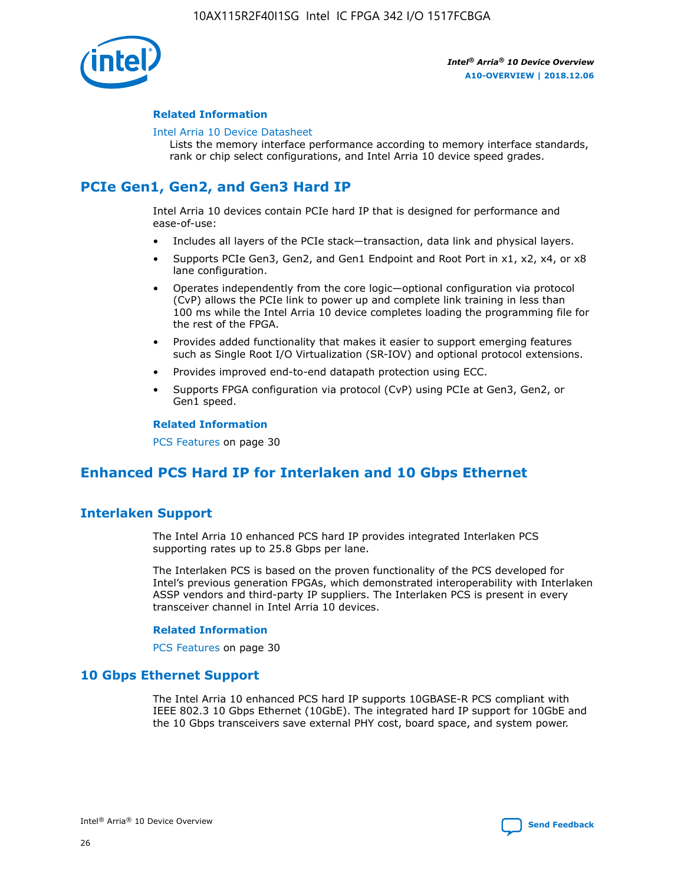

## **Related Information**

#### [Intel Arria 10 Device Datasheet](https://www.intel.com/content/www/us/en/programmable/documentation/mcn1413182292568.html#mcn1413182153340)

Lists the memory interface performance according to memory interface standards, rank or chip select configurations, and Intel Arria 10 device speed grades.

# **PCIe Gen1, Gen2, and Gen3 Hard IP**

Intel Arria 10 devices contain PCIe hard IP that is designed for performance and ease-of-use:

- Includes all layers of the PCIe stack—transaction, data link and physical layers.
- Supports PCIe Gen3, Gen2, and Gen1 Endpoint and Root Port in x1, x2, x4, or x8 lane configuration.
- Operates independently from the core logic—optional configuration via protocol (CvP) allows the PCIe link to power up and complete link training in less than 100 ms while the Intel Arria 10 device completes loading the programming file for the rest of the FPGA.
- Provides added functionality that makes it easier to support emerging features such as Single Root I/O Virtualization (SR-IOV) and optional protocol extensions.
- Provides improved end-to-end datapath protection using ECC.
- Supports FPGA configuration via protocol (CvP) using PCIe at Gen3, Gen2, or Gen1 speed.

#### **Related Information**

PCS Features on page 30

# **Enhanced PCS Hard IP for Interlaken and 10 Gbps Ethernet**

## **Interlaken Support**

The Intel Arria 10 enhanced PCS hard IP provides integrated Interlaken PCS supporting rates up to 25.8 Gbps per lane.

The Interlaken PCS is based on the proven functionality of the PCS developed for Intel's previous generation FPGAs, which demonstrated interoperability with Interlaken ASSP vendors and third-party IP suppliers. The Interlaken PCS is present in every transceiver channel in Intel Arria 10 devices.

## **Related Information**

PCS Features on page 30

## **10 Gbps Ethernet Support**

The Intel Arria 10 enhanced PCS hard IP supports 10GBASE-R PCS compliant with IEEE 802.3 10 Gbps Ethernet (10GbE). The integrated hard IP support for 10GbE and the 10 Gbps transceivers save external PHY cost, board space, and system power.

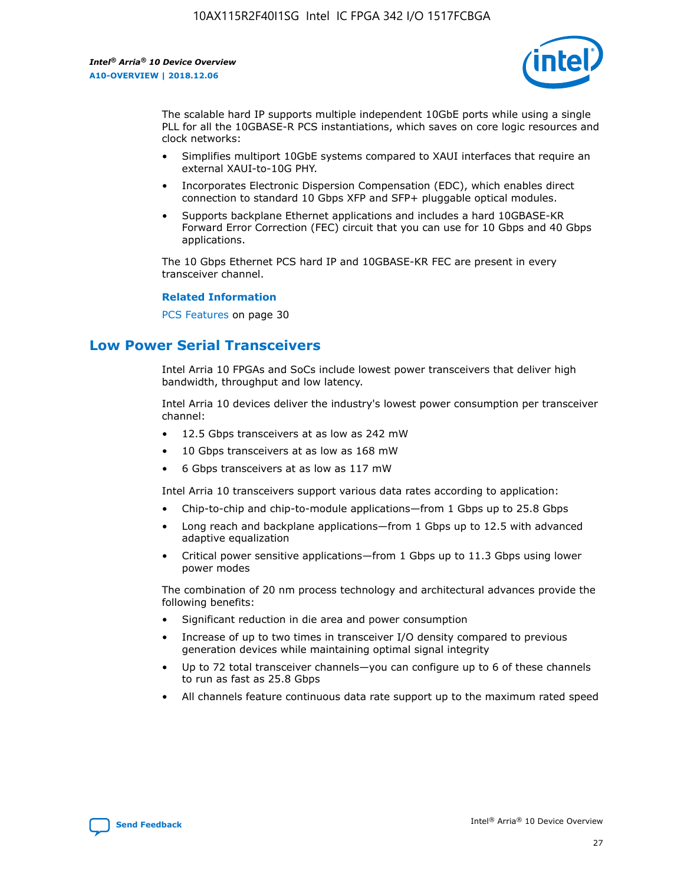

The scalable hard IP supports multiple independent 10GbE ports while using a single PLL for all the 10GBASE-R PCS instantiations, which saves on core logic resources and clock networks:

- Simplifies multiport 10GbE systems compared to XAUI interfaces that require an external XAUI-to-10G PHY.
- Incorporates Electronic Dispersion Compensation (EDC), which enables direct connection to standard 10 Gbps XFP and SFP+ pluggable optical modules.
- Supports backplane Ethernet applications and includes a hard 10GBASE-KR Forward Error Correction (FEC) circuit that you can use for 10 Gbps and 40 Gbps applications.

The 10 Gbps Ethernet PCS hard IP and 10GBASE-KR FEC are present in every transceiver channel.

#### **Related Information**

PCS Features on page 30

# **Low Power Serial Transceivers**

Intel Arria 10 FPGAs and SoCs include lowest power transceivers that deliver high bandwidth, throughput and low latency.

Intel Arria 10 devices deliver the industry's lowest power consumption per transceiver channel:

- 12.5 Gbps transceivers at as low as 242 mW
- 10 Gbps transceivers at as low as 168 mW
- 6 Gbps transceivers at as low as 117 mW

Intel Arria 10 transceivers support various data rates according to application:

- Chip-to-chip and chip-to-module applications—from 1 Gbps up to 25.8 Gbps
- Long reach and backplane applications—from 1 Gbps up to 12.5 with advanced adaptive equalization
- Critical power sensitive applications—from 1 Gbps up to 11.3 Gbps using lower power modes

The combination of 20 nm process technology and architectural advances provide the following benefits:

- Significant reduction in die area and power consumption
- Increase of up to two times in transceiver I/O density compared to previous generation devices while maintaining optimal signal integrity
- Up to 72 total transceiver channels—you can configure up to 6 of these channels to run as fast as 25.8 Gbps
- All channels feature continuous data rate support up to the maximum rated speed

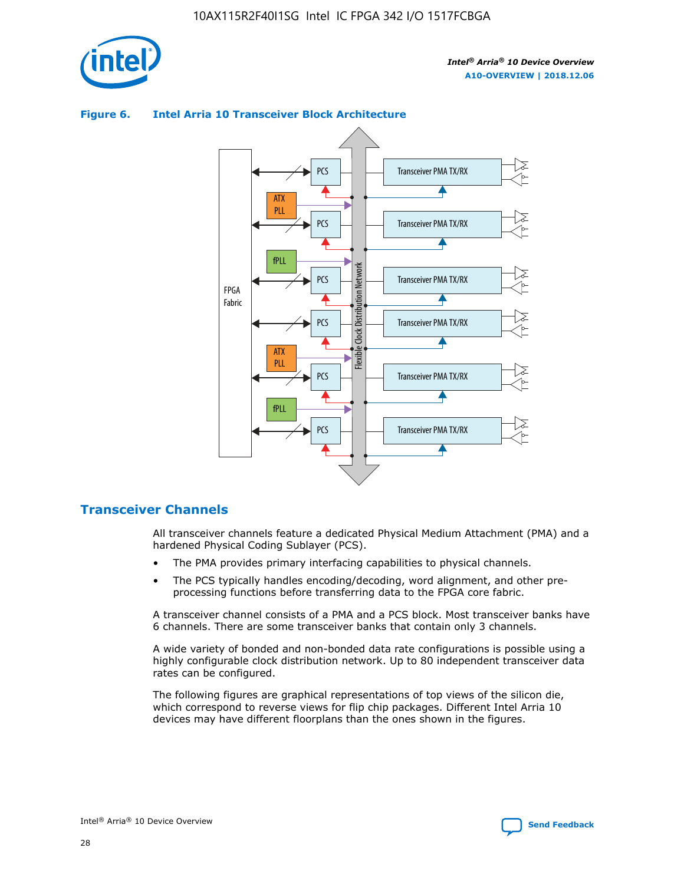



## **Figure 6. Intel Arria 10 Transceiver Block Architecture**

## **Transceiver Channels**

All transceiver channels feature a dedicated Physical Medium Attachment (PMA) and a hardened Physical Coding Sublayer (PCS).

- The PMA provides primary interfacing capabilities to physical channels.
- The PCS typically handles encoding/decoding, word alignment, and other preprocessing functions before transferring data to the FPGA core fabric.

A transceiver channel consists of a PMA and a PCS block. Most transceiver banks have 6 channels. There are some transceiver banks that contain only 3 channels.

A wide variety of bonded and non-bonded data rate configurations is possible using a highly configurable clock distribution network. Up to 80 independent transceiver data rates can be configured.

The following figures are graphical representations of top views of the silicon die, which correspond to reverse views for flip chip packages. Different Intel Arria 10 devices may have different floorplans than the ones shown in the figures.

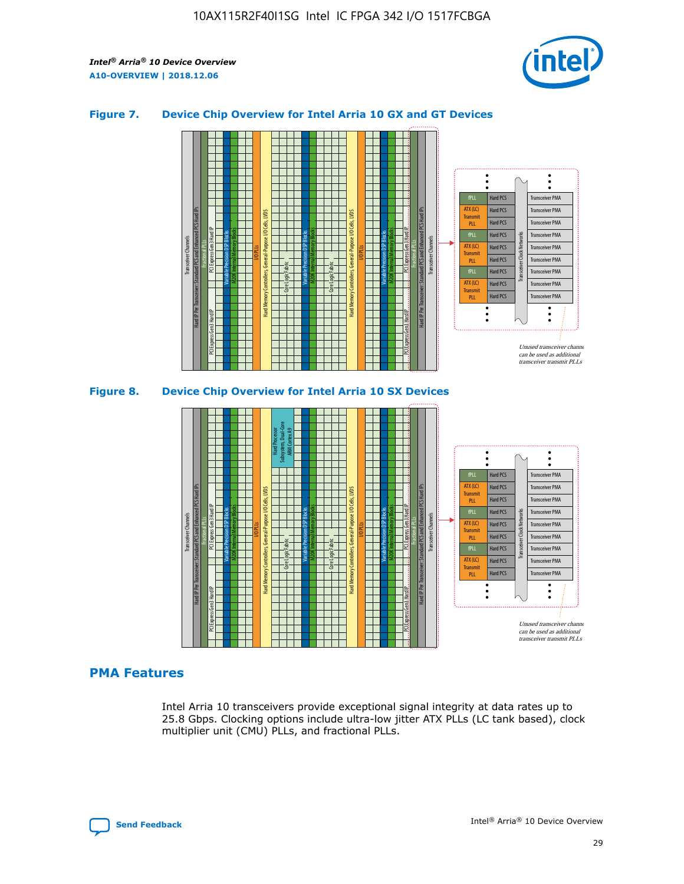

## **Figure 7. Device Chip Overview for Intel Arria 10 GX and GT Devices**





## **PMA Features**

Intel Arria 10 transceivers provide exceptional signal integrity at data rates up to 25.8 Gbps. Clocking options include ultra-low jitter ATX PLLs (LC tank based), clock multiplier unit (CMU) PLLs, and fractional PLLs.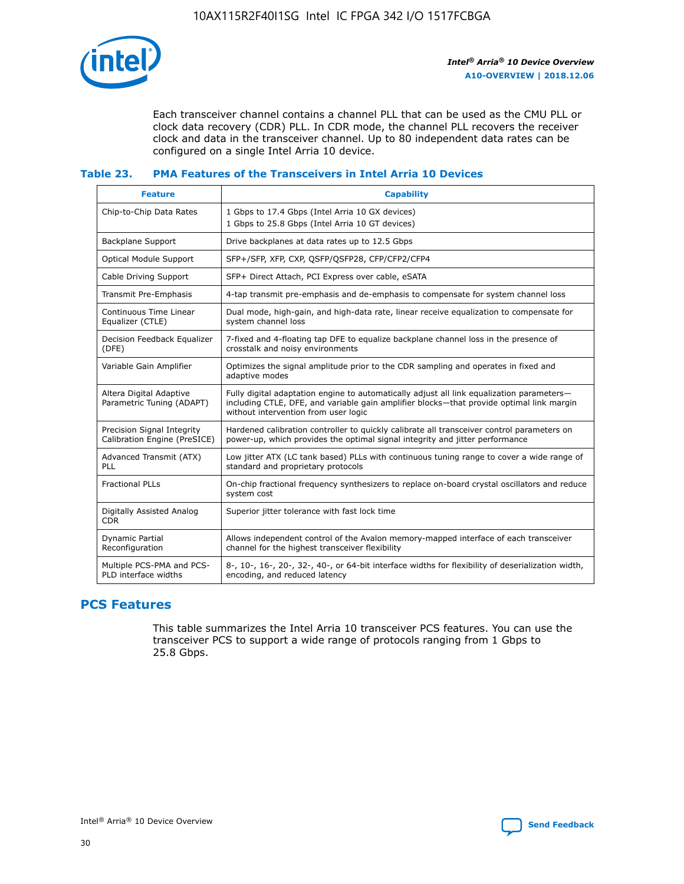

Each transceiver channel contains a channel PLL that can be used as the CMU PLL or clock data recovery (CDR) PLL. In CDR mode, the channel PLL recovers the receiver clock and data in the transceiver channel. Up to 80 independent data rates can be configured on a single Intel Arria 10 device.

## **Table 23. PMA Features of the Transceivers in Intel Arria 10 Devices**

| <b>Feature</b>                                             | <b>Capability</b>                                                                                                                                                                                                             |
|------------------------------------------------------------|-------------------------------------------------------------------------------------------------------------------------------------------------------------------------------------------------------------------------------|
| Chip-to-Chip Data Rates                                    | 1 Gbps to 17.4 Gbps (Intel Arria 10 GX devices)<br>1 Gbps to 25.8 Gbps (Intel Arria 10 GT devices)                                                                                                                            |
| <b>Backplane Support</b>                                   | Drive backplanes at data rates up to 12.5 Gbps                                                                                                                                                                                |
| Optical Module Support                                     | SFP+/SFP, XFP, CXP, QSFP/QSFP28, CFP/CFP2/CFP4                                                                                                                                                                                |
| Cable Driving Support                                      | SFP+ Direct Attach, PCI Express over cable, eSATA                                                                                                                                                                             |
| Transmit Pre-Emphasis                                      | 4-tap transmit pre-emphasis and de-emphasis to compensate for system channel loss                                                                                                                                             |
| Continuous Time Linear<br>Equalizer (CTLE)                 | Dual mode, high-gain, and high-data rate, linear receive equalization to compensate for<br>system channel loss                                                                                                                |
| Decision Feedback Equalizer<br>(DFE)                       | 7-fixed and 4-floating tap DFE to equalize backplane channel loss in the presence of<br>crosstalk and noisy environments                                                                                                      |
| Variable Gain Amplifier                                    | Optimizes the signal amplitude prior to the CDR sampling and operates in fixed and<br>adaptive modes                                                                                                                          |
| Altera Digital Adaptive<br>Parametric Tuning (ADAPT)       | Fully digital adaptation engine to automatically adjust all link equalization parameters-<br>including CTLE, DFE, and variable gain amplifier blocks—that provide optimal link margin<br>without intervention from user logic |
| Precision Signal Integrity<br>Calibration Engine (PreSICE) | Hardened calibration controller to quickly calibrate all transceiver control parameters on<br>power-up, which provides the optimal signal integrity and jitter performance                                                    |
| Advanced Transmit (ATX)<br><b>PLL</b>                      | Low jitter ATX (LC tank based) PLLs with continuous tuning range to cover a wide range of<br>standard and proprietary protocols                                                                                               |
| <b>Fractional PLLs</b>                                     | On-chip fractional frequency synthesizers to replace on-board crystal oscillators and reduce<br>system cost                                                                                                                   |
| Digitally Assisted Analog<br><b>CDR</b>                    | Superior jitter tolerance with fast lock time                                                                                                                                                                                 |
| Dynamic Partial<br>Reconfiguration                         | Allows independent control of the Avalon memory-mapped interface of each transceiver<br>channel for the highest transceiver flexibility                                                                                       |
| Multiple PCS-PMA and PCS-<br>PLD interface widths          | 8-, 10-, 16-, 20-, 32-, 40-, or 64-bit interface widths for flexibility of deserialization width,<br>encoding, and reduced latency                                                                                            |

## **PCS Features**

This table summarizes the Intel Arria 10 transceiver PCS features. You can use the transceiver PCS to support a wide range of protocols ranging from 1 Gbps to 25.8 Gbps.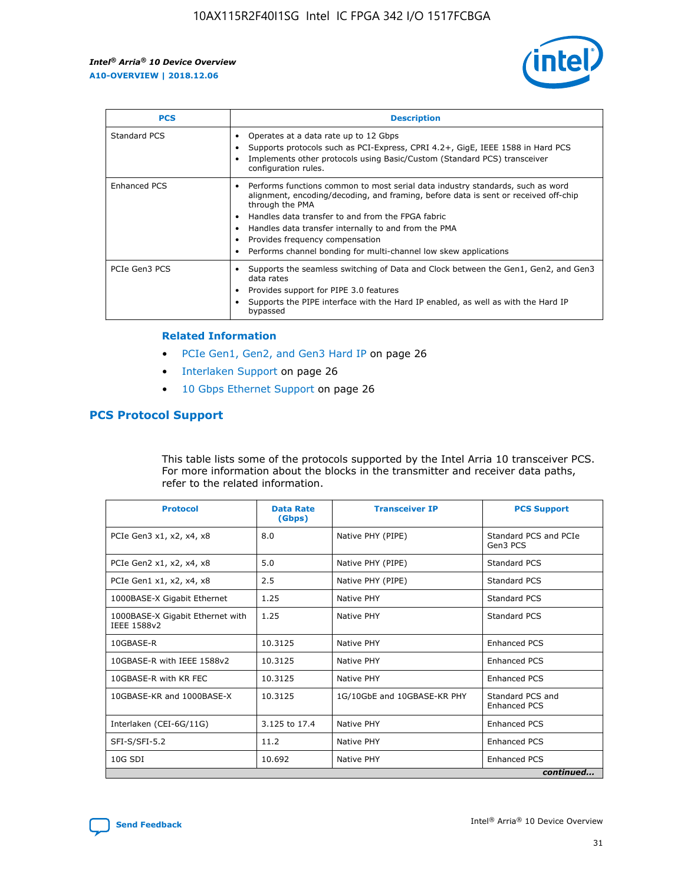

| <b>PCS</b>    | <b>Description</b>                                                                                                                                                                                                                                                                                                                                                                                             |
|---------------|----------------------------------------------------------------------------------------------------------------------------------------------------------------------------------------------------------------------------------------------------------------------------------------------------------------------------------------------------------------------------------------------------------------|
| Standard PCS  | Operates at a data rate up to 12 Gbps<br>Supports protocols such as PCI-Express, CPRI 4.2+, GigE, IEEE 1588 in Hard PCS<br>Implements other protocols using Basic/Custom (Standard PCS) transceiver<br>configuration rules.                                                                                                                                                                                    |
| Enhanced PCS  | Performs functions common to most serial data industry standards, such as word<br>alignment, encoding/decoding, and framing, before data is sent or received off-chip<br>through the PMA<br>• Handles data transfer to and from the FPGA fabric<br>Handles data transfer internally to and from the PMA<br>Provides frequency compensation<br>Performs channel bonding for multi-channel low skew applications |
| PCIe Gen3 PCS | Supports the seamless switching of Data and Clock between the Gen1, Gen2, and Gen3<br>data rates<br>Provides support for PIPE 3.0 features<br>Supports the PIPE interface with the Hard IP enabled, as well as with the Hard IP<br>bypassed                                                                                                                                                                    |

#### **Related Information**

- PCIe Gen1, Gen2, and Gen3 Hard IP on page 26
- Interlaken Support on page 26
- 10 Gbps Ethernet Support on page 26

## **PCS Protocol Support**

This table lists some of the protocols supported by the Intel Arria 10 transceiver PCS. For more information about the blocks in the transmitter and receiver data paths, refer to the related information.

| <b>Protocol</b>                                 | <b>Data Rate</b><br>(Gbps) | <b>Transceiver IP</b>       | <b>PCS Support</b>                      |
|-------------------------------------------------|----------------------------|-----------------------------|-----------------------------------------|
| PCIe Gen3 x1, x2, x4, x8                        | 8.0                        | Native PHY (PIPE)           | Standard PCS and PCIe<br>Gen3 PCS       |
| PCIe Gen2 x1, x2, x4, x8                        | 5.0                        | Native PHY (PIPE)           | <b>Standard PCS</b>                     |
| PCIe Gen1 x1, x2, x4, x8                        | 2.5                        | Native PHY (PIPE)           | Standard PCS                            |
| 1000BASE-X Gigabit Ethernet                     | 1.25                       | Native PHY                  | <b>Standard PCS</b>                     |
| 1000BASE-X Gigabit Ethernet with<br>IEEE 1588v2 | 1.25                       | Native PHY                  | Standard PCS                            |
| 10GBASE-R                                       | 10.3125                    | Native PHY                  | <b>Enhanced PCS</b>                     |
| 10GBASE-R with IEEE 1588v2                      | 10.3125                    | Native PHY                  | <b>Enhanced PCS</b>                     |
| 10GBASE-R with KR FEC                           | 10.3125                    | Native PHY                  | <b>Enhanced PCS</b>                     |
| 10GBASE-KR and 1000BASE-X                       | 10.3125                    | 1G/10GbE and 10GBASE-KR PHY | Standard PCS and<br><b>Enhanced PCS</b> |
| Interlaken (CEI-6G/11G)                         | 3.125 to 17.4              | Native PHY                  | <b>Enhanced PCS</b>                     |
| SFI-S/SFI-5.2                                   | 11.2                       | Native PHY                  | <b>Enhanced PCS</b>                     |
| $10G$ SDI                                       | 10.692                     | Native PHY                  | <b>Enhanced PCS</b>                     |
|                                                 |                            |                             | continued                               |

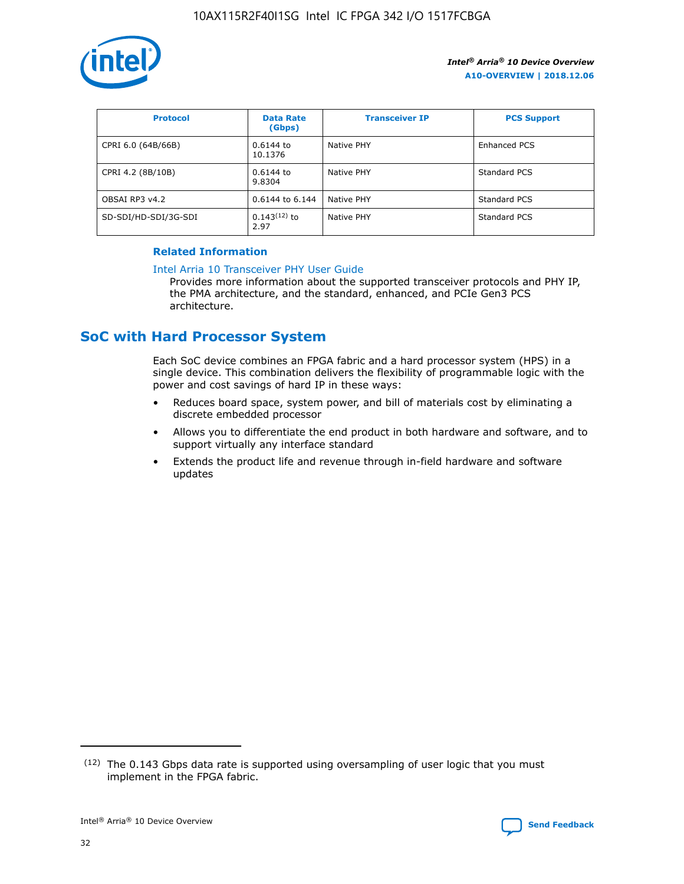

| <b>Protocol</b>      | <b>Data Rate</b><br>(Gbps) | <b>Transceiver IP</b> | <b>PCS Support</b> |
|----------------------|----------------------------|-----------------------|--------------------|
| CPRI 6.0 (64B/66B)   | 0.6144 to<br>10.1376       | Native PHY            | Enhanced PCS       |
| CPRI 4.2 (8B/10B)    | 0.6144 to<br>9.8304        | Native PHY            | Standard PCS       |
| OBSAI RP3 v4.2       | 0.6144 to 6.144            | Native PHY            | Standard PCS       |
| SD-SDI/HD-SDI/3G-SDI | $0.143(12)$ to<br>2.97     | Native PHY            | Standard PCS       |

## **Related Information**

#### [Intel Arria 10 Transceiver PHY User Guide](https://www.intel.com/content/www/us/en/programmable/documentation/nik1398707230472.html#nik1398707091164)

Provides more information about the supported transceiver protocols and PHY IP, the PMA architecture, and the standard, enhanced, and PCIe Gen3 PCS architecture.

# **SoC with Hard Processor System**

Each SoC device combines an FPGA fabric and a hard processor system (HPS) in a single device. This combination delivers the flexibility of programmable logic with the power and cost savings of hard IP in these ways:

- Reduces board space, system power, and bill of materials cost by eliminating a discrete embedded processor
- Allows you to differentiate the end product in both hardware and software, and to support virtually any interface standard
- Extends the product life and revenue through in-field hardware and software updates

<sup>(12)</sup> The 0.143 Gbps data rate is supported using oversampling of user logic that you must implement in the FPGA fabric.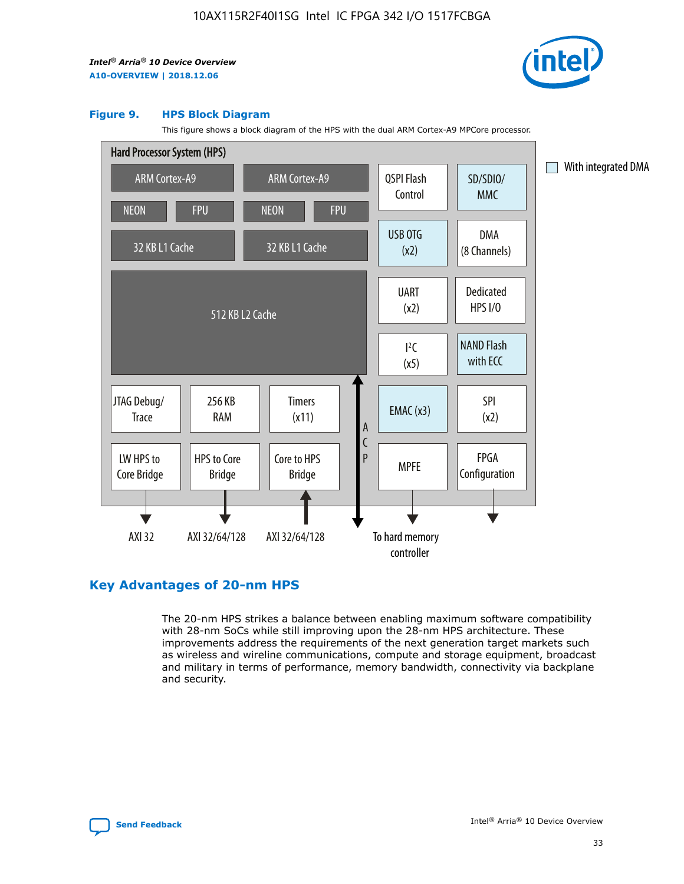

#### **Figure 9. HPS Block Diagram**

This figure shows a block diagram of the HPS with the dual ARM Cortex-A9 MPCore processor.



## **Key Advantages of 20-nm HPS**

The 20-nm HPS strikes a balance between enabling maximum software compatibility with 28-nm SoCs while still improving upon the 28-nm HPS architecture. These improvements address the requirements of the next generation target markets such as wireless and wireline communications, compute and storage equipment, broadcast and military in terms of performance, memory bandwidth, connectivity via backplane and security.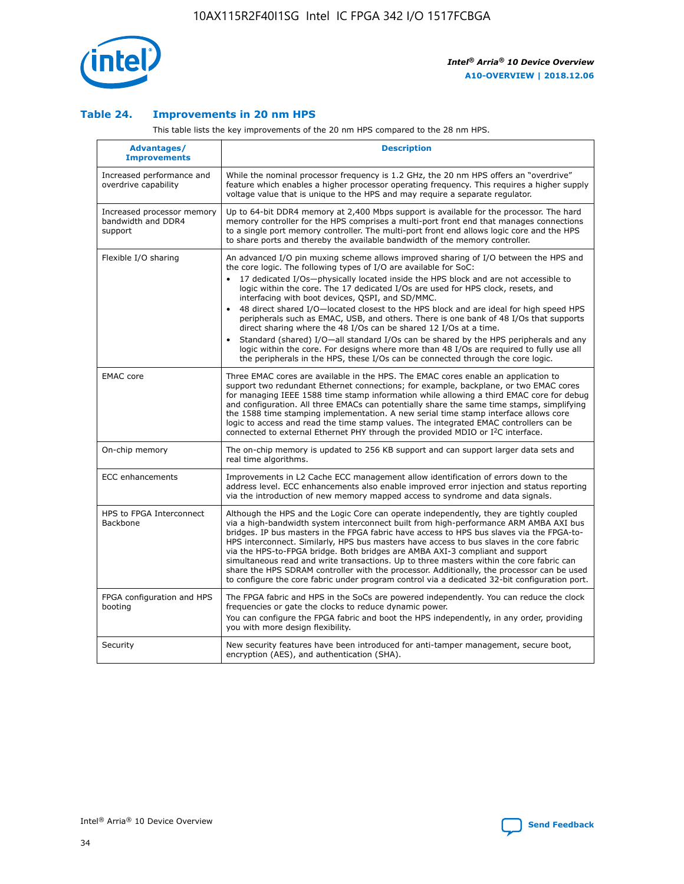

## **Table 24. Improvements in 20 nm HPS**

This table lists the key improvements of the 20 nm HPS compared to the 28 nm HPS.

| <b>Advantages/</b><br><b>Improvements</b>                   | <b>Description</b>                                                                                                                                                                                                                                                                                                                                                                                                                                                                                                                                                                                                                                                                                                                                                                                                                                                                                                      |
|-------------------------------------------------------------|-------------------------------------------------------------------------------------------------------------------------------------------------------------------------------------------------------------------------------------------------------------------------------------------------------------------------------------------------------------------------------------------------------------------------------------------------------------------------------------------------------------------------------------------------------------------------------------------------------------------------------------------------------------------------------------------------------------------------------------------------------------------------------------------------------------------------------------------------------------------------------------------------------------------------|
| Increased performance and<br>overdrive capability           | While the nominal processor frequency is 1.2 GHz, the 20 nm HPS offers an "overdrive"<br>feature which enables a higher processor operating frequency. This requires a higher supply<br>voltage value that is unique to the HPS and may require a separate regulator.                                                                                                                                                                                                                                                                                                                                                                                                                                                                                                                                                                                                                                                   |
| Increased processor memory<br>bandwidth and DDR4<br>support | Up to 64-bit DDR4 memory at 2,400 Mbps support is available for the processor. The hard<br>memory controller for the HPS comprises a multi-port front end that manages connections<br>to a single port memory controller. The multi-port front end allows logic core and the HPS<br>to share ports and thereby the available bandwidth of the memory controller.                                                                                                                                                                                                                                                                                                                                                                                                                                                                                                                                                        |
| Flexible I/O sharing                                        | An advanced I/O pin muxing scheme allows improved sharing of I/O between the HPS and<br>the core logic. The following types of I/O are available for SoC:<br>17 dedicated I/Os-physically located inside the HPS block and are not accessible to<br>logic within the core. The 17 dedicated I/Os are used for HPS clock, resets, and<br>interfacing with boot devices, QSPI, and SD/MMC.<br>48 direct shared I/O-located closest to the HPS block and are ideal for high speed HPS<br>peripherals such as EMAC, USB, and others. There is one bank of 48 I/Os that supports<br>direct sharing where the 48 I/Os can be shared 12 I/Os at a time.<br>Standard (shared) I/O-all standard I/Os can be shared by the HPS peripherals and any<br>logic within the core. For designs where more than 48 I/Os are required to fully use all<br>the peripherals in the HPS, these I/Os can be connected through the core logic. |
| <b>EMAC</b> core                                            | Three EMAC cores are available in the HPS. The EMAC cores enable an application to<br>support two redundant Ethernet connections; for example, backplane, or two EMAC cores<br>for managing IEEE 1588 time stamp information while allowing a third EMAC core for debug<br>and configuration. All three EMACs can potentially share the same time stamps, simplifying<br>the 1588 time stamping implementation. A new serial time stamp interface allows core<br>logic to access and read the time stamp values. The integrated EMAC controllers can be<br>connected to external Ethernet PHY through the provided MDIO or I <sup>2</sup> C interface.                                                                                                                                                                                                                                                                  |
| On-chip memory                                              | The on-chip memory is updated to 256 KB support and can support larger data sets and<br>real time algorithms.                                                                                                                                                                                                                                                                                                                                                                                                                                                                                                                                                                                                                                                                                                                                                                                                           |
| <b>ECC</b> enhancements                                     | Improvements in L2 Cache ECC management allow identification of errors down to the<br>address level. ECC enhancements also enable improved error injection and status reporting<br>via the introduction of new memory mapped access to syndrome and data signals.                                                                                                                                                                                                                                                                                                                                                                                                                                                                                                                                                                                                                                                       |
| HPS to FPGA Interconnect<br>Backbone                        | Although the HPS and the Logic Core can operate independently, they are tightly coupled<br>via a high-bandwidth system interconnect built from high-performance ARM AMBA AXI bus<br>bridges. IP bus masters in the FPGA fabric have access to HPS bus slaves via the FPGA-to-<br>HPS interconnect. Similarly, HPS bus masters have access to bus slaves in the core fabric<br>via the HPS-to-FPGA bridge. Both bridges are AMBA AXI-3 compliant and support<br>simultaneous read and write transactions. Up to three masters within the core fabric can<br>share the HPS SDRAM controller with the processor. Additionally, the processor can be used<br>to configure the core fabric under program control via a dedicated 32-bit configuration port.                                                                                                                                                                  |
| FPGA configuration and HPS<br>booting                       | The FPGA fabric and HPS in the SoCs are powered independently. You can reduce the clock<br>frequencies or gate the clocks to reduce dynamic power.<br>You can configure the FPGA fabric and boot the HPS independently, in any order, providing<br>you with more design flexibility.                                                                                                                                                                                                                                                                                                                                                                                                                                                                                                                                                                                                                                    |
| Security                                                    | New security features have been introduced for anti-tamper management, secure boot,<br>encryption (AES), and authentication (SHA).                                                                                                                                                                                                                                                                                                                                                                                                                                                                                                                                                                                                                                                                                                                                                                                      |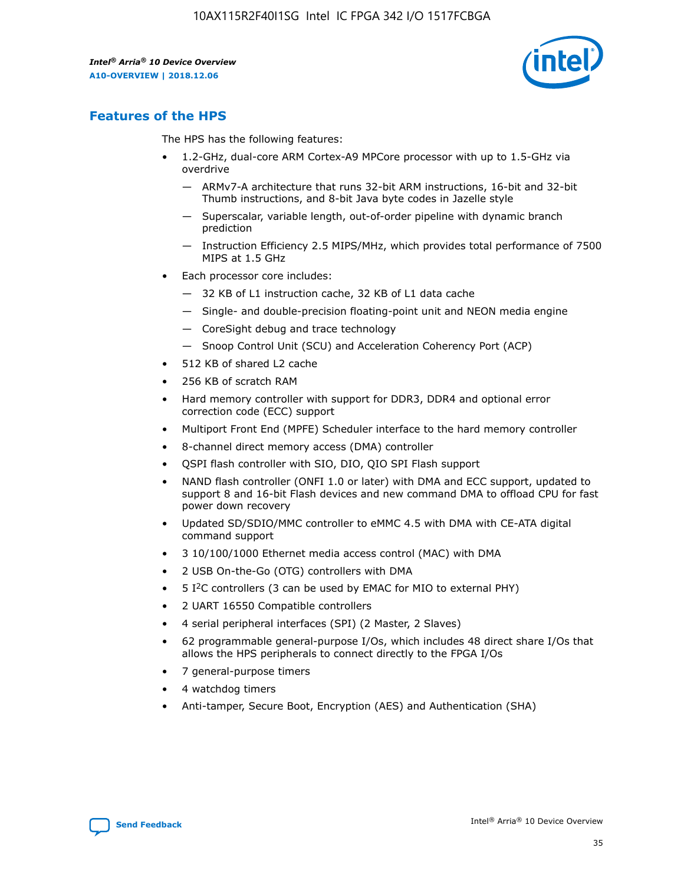

## **Features of the HPS**

The HPS has the following features:

- 1.2-GHz, dual-core ARM Cortex-A9 MPCore processor with up to 1.5-GHz via overdrive
	- ARMv7-A architecture that runs 32-bit ARM instructions, 16-bit and 32-bit Thumb instructions, and 8-bit Java byte codes in Jazelle style
	- Superscalar, variable length, out-of-order pipeline with dynamic branch prediction
	- Instruction Efficiency 2.5 MIPS/MHz, which provides total performance of 7500 MIPS at 1.5 GHz
- Each processor core includes:
	- 32 KB of L1 instruction cache, 32 KB of L1 data cache
	- Single- and double-precision floating-point unit and NEON media engine
	- CoreSight debug and trace technology
	- Snoop Control Unit (SCU) and Acceleration Coherency Port (ACP)
- 512 KB of shared L2 cache
- 256 KB of scratch RAM
- Hard memory controller with support for DDR3, DDR4 and optional error correction code (ECC) support
- Multiport Front End (MPFE) Scheduler interface to the hard memory controller
- 8-channel direct memory access (DMA) controller
- QSPI flash controller with SIO, DIO, QIO SPI Flash support
- NAND flash controller (ONFI 1.0 or later) with DMA and ECC support, updated to support 8 and 16-bit Flash devices and new command DMA to offload CPU for fast power down recovery
- Updated SD/SDIO/MMC controller to eMMC 4.5 with DMA with CE-ATA digital command support
- 3 10/100/1000 Ethernet media access control (MAC) with DMA
- 2 USB On-the-Go (OTG) controllers with DMA
- $\bullet$  5 I<sup>2</sup>C controllers (3 can be used by EMAC for MIO to external PHY)
- 2 UART 16550 Compatible controllers
- 4 serial peripheral interfaces (SPI) (2 Master, 2 Slaves)
- 62 programmable general-purpose I/Os, which includes 48 direct share I/Os that allows the HPS peripherals to connect directly to the FPGA I/Os
- 7 general-purpose timers
- 4 watchdog timers
- Anti-tamper, Secure Boot, Encryption (AES) and Authentication (SHA)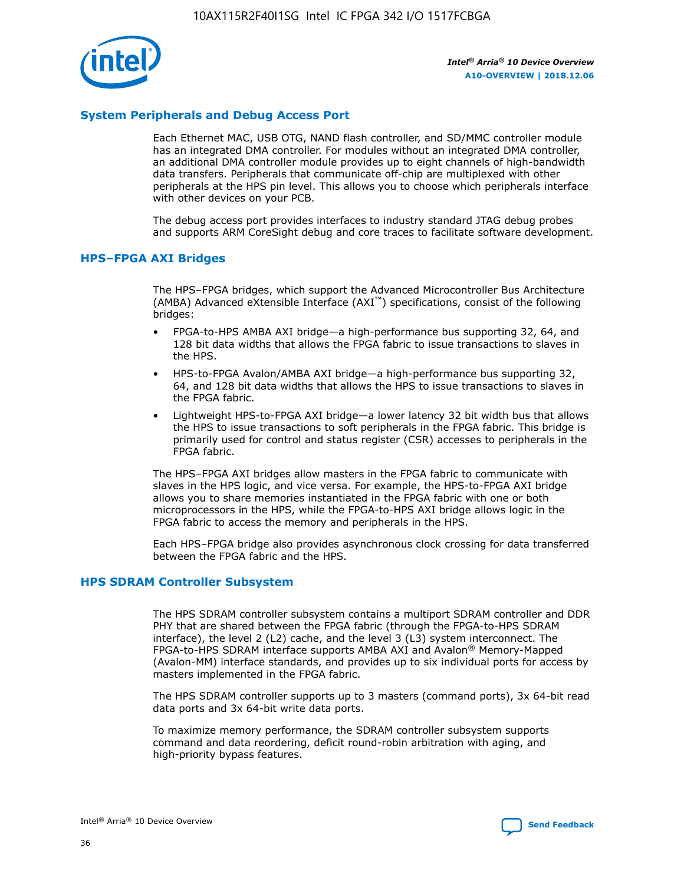

## **System Peripherals and Debug Access Port**

Each Ethernet MAC, USB OTG, NAND flash controller, and SD/MMC controller module has an integrated DMA controller. For modules without an integrated DMA controller, an additional DMA controller module provides up to eight channels of high-bandwidth data transfers. Peripherals that communicate off-chip are multiplexed with other peripherals at the HPS pin level. This allows you to choose which peripherals interface with other devices on your PCB.

The debug access port provides interfaces to industry standard JTAG debug probes and supports ARM CoreSight debug and core traces to facilitate software development.

#### **HPS–FPGA AXI Bridges**

The HPS–FPGA bridges, which support the Advanced Microcontroller Bus Architecture (AMBA) Advanced eXtensible Interface (AXI™) specifications, consist of the following bridges:

- FPGA-to-HPS AMBA AXI bridge—a high-performance bus supporting 32, 64, and 128 bit data widths that allows the FPGA fabric to issue transactions to slaves in the HPS.
- HPS-to-FPGA Avalon/AMBA AXI bridge—a high-performance bus supporting 32, 64, and 128 bit data widths that allows the HPS to issue transactions to slaves in the FPGA fabric.
- Lightweight HPS-to-FPGA AXI bridge—a lower latency 32 bit width bus that allows the HPS to issue transactions to soft peripherals in the FPGA fabric. This bridge is primarily used for control and status register (CSR) accesses to peripherals in the FPGA fabric.

The HPS–FPGA AXI bridges allow masters in the FPGA fabric to communicate with slaves in the HPS logic, and vice versa. For example, the HPS-to-FPGA AXI bridge allows you to share memories instantiated in the FPGA fabric with one or both microprocessors in the HPS, while the FPGA-to-HPS AXI bridge allows logic in the FPGA fabric to access the memory and peripherals in the HPS.

Each HPS–FPGA bridge also provides asynchronous clock crossing for data transferred between the FPGA fabric and the HPS.

#### **HPS SDRAM Controller Subsystem**

The HPS SDRAM controller subsystem contains a multiport SDRAM controller and DDR PHY that are shared between the FPGA fabric (through the FPGA-to-HPS SDRAM interface), the level 2 (L2) cache, and the level 3 (L3) system interconnect. The FPGA-to-HPS SDRAM interface supports AMBA AXI and Avalon® Memory-Mapped (Avalon-MM) interface standards, and provides up to six individual ports for access by masters implemented in the FPGA fabric.

The HPS SDRAM controller supports up to 3 masters (command ports), 3x 64-bit read data ports and 3x 64-bit write data ports.

To maximize memory performance, the SDRAM controller subsystem supports command and data reordering, deficit round-robin arbitration with aging, and high-priority bypass features.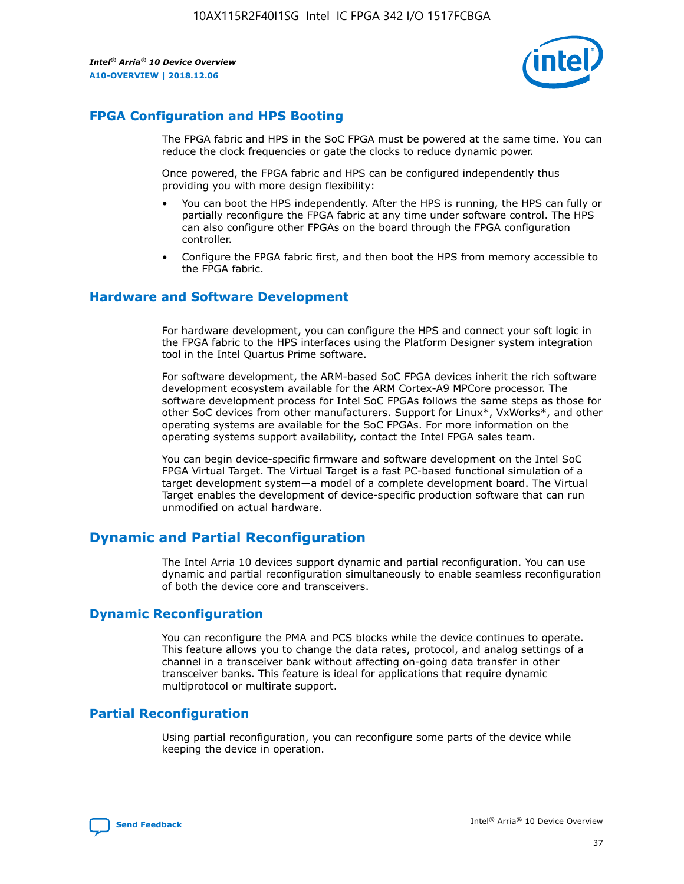

## **FPGA Configuration and HPS Booting**

The FPGA fabric and HPS in the SoC FPGA must be powered at the same time. You can reduce the clock frequencies or gate the clocks to reduce dynamic power.

Once powered, the FPGA fabric and HPS can be configured independently thus providing you with more design flexibility:

- You can boot the HPS independently. After the HPS is running, the HPS can fully or partially reconfigure the FPGA fabric at any time under software control. The HPS can also configure other FPGAs on the board through the FPGA configuration controller.
- Configure the FPGA fabric first, and then boot the HPS from memory accessible to the FPGA fabric.

## **Hardware and Software Development**

For hardware development, you can configure the HPS and connect your soft logic in the FPGA fabric to the HPS interfaces using the Platform Designer system integration tool in the Intel Quartus Prime software.

For software development, the ARM-based SoC FPGA devices inherit the rich software development ecosystem available for the ARM Cortex-A9 MPCore processor. The software development process for Intel SoC FPGAs follows the same steps as those for other SoC devices from other manufacturers. Support for Linux\*, VxWorks\*, and other operating systems are available for the SoC FPGAs. For more information on the operating systems support availability, contact the Intel FPGA sales team.

You can begin device-specific firmware and software development on the Intel SoC FPGA Virtual Target. The Virtual Target is a fast PC-based functional simulation of a target development system—a model of a complete development board. The Virtual Target enables the development of device-specific production software that can run unmodified on actual hardware.

## **Dynamic and Partial Reconfiguration**

The Intel Arria 10 devices support dynamic and partial reconfiguration. You can use dynamic and partial reconfiguration simultaneously to enable seamless reconfiguration of both the device core and transceivers.

## **Dynamic Reconfiguration**

You can reconfigure the PMA and PCS blocks while the device continues to operate. This feature allows you to change the data rates, protocol, and analog settings of a channel in a transceiver bank without affecting on-going data transfer in other transceiver banks. This feature is ideal for applications that require dynamic multiprotocol or multirate support.

## **Partial Reconfiguration**

Using partial reconfiguration, you can reconfigure some parts of the device while keeping the device in operation.

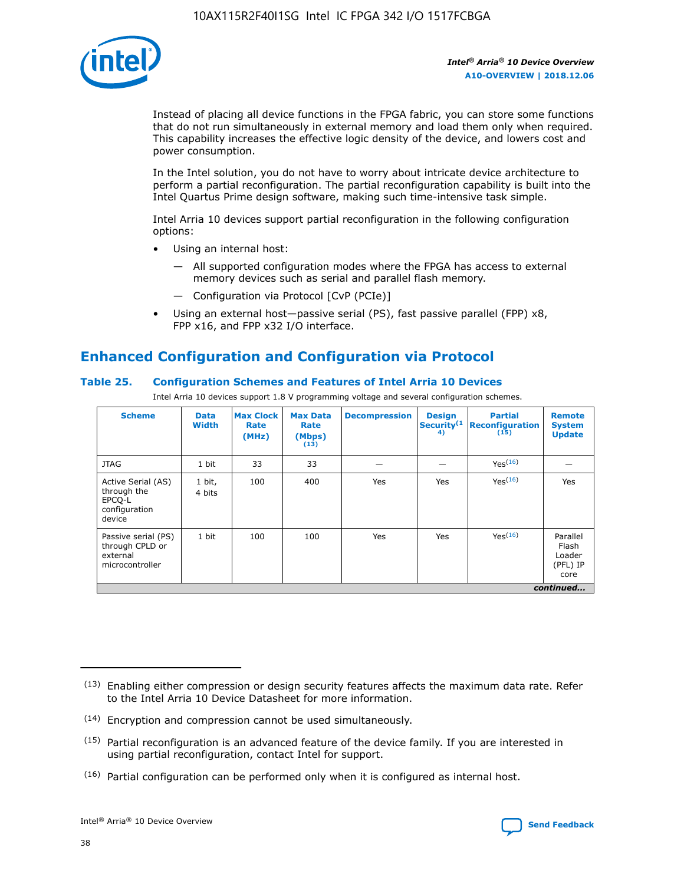

Instead of placing all device functions in the FPGA fabric, you can store some functions that do not run simultaneously in external memory and load them only when required. This capability increases the effective logic density of the device, and lowers cost and power consumption.

In the Intel solution, you do not have to worry about intricate device architecture to perform a partial reconfiguration. The partial reconfiguration capability is built into the Intel Quartus Prime design software, making such time-intensive task simple.

Intel Arria 10 devices support partial reconfiguration in the following configuration options:

- Using an internal host:
	- All supported configuration modes where the FPGA has access to external memory devices such as serial and parallel flash memory.
	- Configuration via Protocol [CvP (PCIe)]
- Using an external host—passive serial (PS), fast passive parallel (FPP) x8, FPP x16, and FPP x32 I/O interface.

# **Enhanced Configuration and Configuration via Protocol**

## **Table 25. Configuration Schemes and Features of Intel Arria 10 Devices**

Intel Arria 10 devices support 1.8 V programming voltage and several configuration schemes.

| <b>Scheme</b>                                                          | <b>Data</b><br><b>Width</b> | <b>Max Clock</b><br>Rate<br>(MHz) | <b>Max Data</b><br>Rate<br>(Mbps)<br>(13) | <b>Decompression</b> | <b>Design</b><br>Security <sup>(1</sup><br>4) | <b>Partial</b><br><b>Reconfiguration</b><br>(15) | <b>Remote</b><br><b>System</b><br><b>Update</b> |
|------------------------------------------------------------------------|-----------------------------|-----------------------------------|-------------------------------------------|----------------------|-----------------------------------------------|--------------------------------------------------|-------------------------------------------------|
| <b>JTAG</b>                                                            | 1 bit                       | 33                                | 33                                        |                      |                                               | Yes(16)                                          |                                                 |
| Active Serial (AS)<br>through the<br>EPCO-L<br>configuration<br>device | 1 bit,<br>4 bits            | 100                               | 400                                       | Yes                  | Yes                                           | $Y_{PS}(16)$                                     | Yes                                             |
| Passive serial (PS)<br>through CPLD or<br>external<br>microcontroller  | 1 bit                       | 100                               | 100                                       | Yes                  | Yes                                           | Yes(16)                                          | Parallel<br>Flash<br>Loader<br>(PFL) IP<br>core |
|                                                                        | continued                   |                                   |                                           |                      |                                               |                                                  |                                                 |

<sup>(13)</sup> Enabling either compression or design security features affects the maximum data rate. Refer to the Intel Arria 10 Device Datasheet for more information.

<sup>(14)</sup> Encryption and compression cannot be used simultaneously.

 $(15)$  Partial reconfiguration is an advanced feature of the device family. If you are interested in using partial reconfiguration, contact Intel for support.

 $(16)$  Partial configuration can be performed only when it is configured as internal host.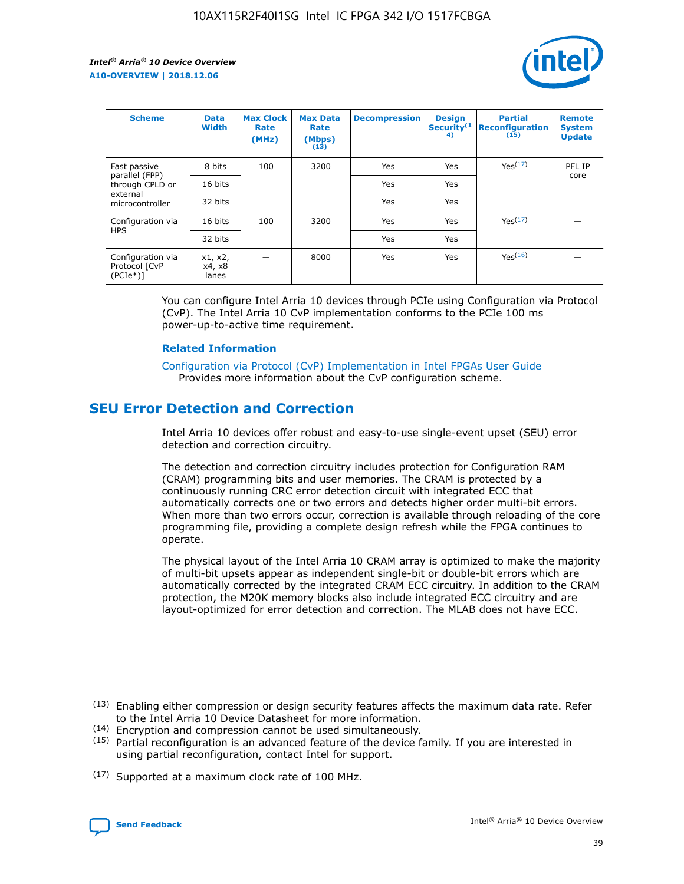

| <b>Scheme</b>                                   | <b>Data</b><br><b>Width</b> | <b>Max Clock</b><br>Rate<br>(MHz) | <b>Max Data</b><br>Rate<br>(Mbps)<br>(13) | <b>Decompression</b> | <b>Design</b><br>Security <sup>(1</sup><br>4) | <b>Partial</b><br><b>Reconfiguration</b><br>(15) | <b>Remote</b><br><b>System</b><br><b>Update</b> |
|-------------------------------------------------|-----------------------------|-----------------------------------|-------------------------------------------|----------------------|-----------------------------------------------|--------------------------------------------------|-------------------------------------------------|
| Fast passive                                    | 8 bits                      | 100                               | 3200                                      | Yes                  | Yes                                           | Yes(17)                                          | PFL IP                                          |
| parallel (FPP)<br>through CPLD or               | 16 bits                     |                                   |                                           | Yes                  | Yes                                           |                                                  | core                                            |
| external<br>microcontroller                     | 32 bits                     |                                   |                                           | Yes                  | Yes                                           |                                                  |                                                 |
| Configuration via                               | 16 bits                     | 100                               | 3200                                      | Yes                  | Yes                                           | Yes <sup>(17)</sup>                              |                                                 |
| <b>HPS</b>                                      | 32 bits                     |                                   |                                           | Yes                  | Yes                                           |                                                  |                                                 |
| Configuration via<br>Protocol [CvP<br>$(PCIe*)$ | x1, x2,<br>x4, x8<br>lanes  |                                   | 8000                                      | Yes                  | Yes                                           | Yes <sup>(16)</sup>                              |                                                 |

You can configure Intel Arria 10 devices through PCIe using Configuration via Protocol (CvP). The Intel Arria 10 CvP implementation conforms to the PCIe 100 ms power-up-to-active time requirement.

#### **Related Information**

[Configuration via Protocol \(CvP\) Implementation in Intel FPGAs User Guide](https://www.intel.com/content/www/us/en/programmable/documentation/dsu1441819344145.html#dsu1442269728522) Provides more information about the CvP configuration scheme.

# **SEU Error Detection and Correction**

Intel Arria 10 devices offer robust and easy-to-use single-event upset (SEU) error detection and correction circuitry.

The detection and correction circuitry includes protection for Configuration RAM (CRAM) programming bits and user memories. The CRAM is protected by a continuously running CRC error detection circuit with integrated ECC that automatically corrects one or two errors and detects higher order multi-bit errors. When more than two errors occur, correction is available through reloading of the core programming file, providing a complete design refresh while the FPGA continues to operate.

The physical layout of the Intel Arria 10 CRAM array is optimized to make the majority of multi-bit upsets appear as independent single-bit or double-bit errors which are automatically corrected by the integrated CRAM ECC circuitry. In addition to the CRAM protection, the M20K memory blocks also include integrated ECC circuitry and are layout-optimized for error detection and correction. The MLAB does not have ECC.

(14) Encryption and compression cannot be used simultaneously.

<sup>(17)</sup> Supported at a maximum clock rate of 100 MHz.



 $(13)$  Enabling either compression or design security features affects the maximum data rate. Refer to the Intel Arria 10 Device Datasheet for more information.

 $(15)$  Partial reconfiguration is an advanced feature of the device family. If you are interested in using partial reconfiguration, contact Intel for support.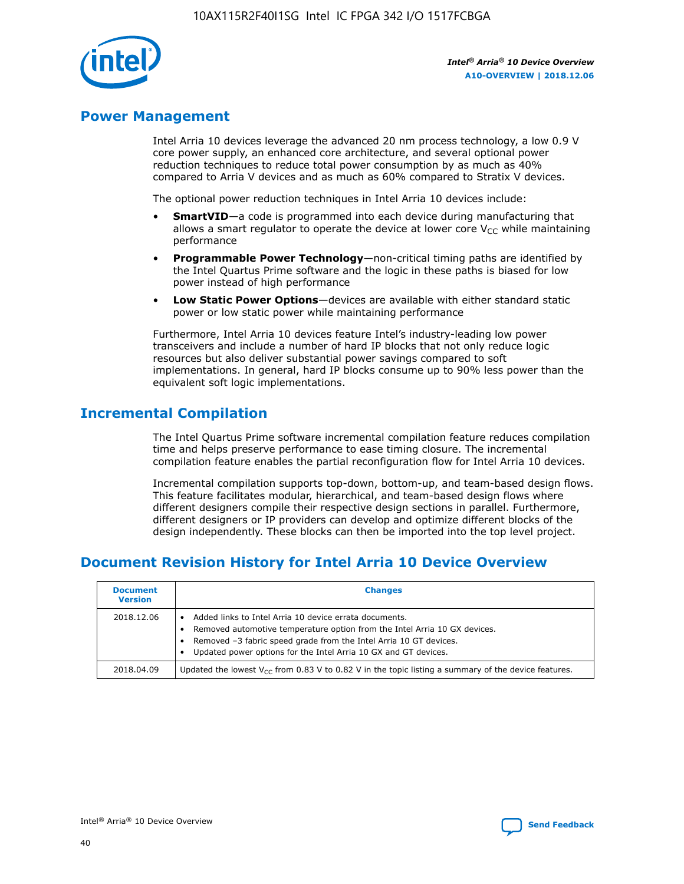

## **Power Management**

Intel Arria 10 devices leverage the advanced 20 nm process technology, a low 0.9 V core power supply, an enhanced core architecture, and several optional power reduction techniques to reduce total power consumption by as much as 40% compared to Arria V devices and as much as 60% compared to Stratix V devices.

The optional power reduction techniques in Intel Arria 10 devices include:

- **SmartVID**—a code is programmed into each device during manufacturing that allows a smart regulator to operate the device at lower core  $V_{CC}$  while maintaining performance
- **Programmable Power Technology**—non-critical timing paths are identified by the Intel Quartus Prime software and the logic in these paths is biased for low power instead of high performance
- **Low Static Power Options**—devices are available with either standard static power or low static power while maintaining performance

Furthermore, Intel Arria 10 devices feature Intel's industry-leading low power transceivers and include a number of hard IP blocks that not only reduce logic resources but also deliver substantial power savings compared to soft implementations. In general, hard IP blocks consume up to 90% less power than the equivalent soft logic implementations.

# **Incremental Compilation**

The Intel Quartus Prime software incremental compilation feature reduces compilation time and helps preserve performance to ease timing closure. The incremental compilation feature enables the partial reconfiguration flow for Intel Arria 10 devices.

Incremental compilation supports top-down, bottom-up, and team-based design flows. This feature facilitates modular, hierarchical, and team-based design flows where different designers compile their respective design sections in parallel. Furthermore, different designers or IP providers can develop and optimize different blocks of the design independently. These blocks can then be imported into the top level project.

# **Document Revision History for Intel Arria 10 Device Overview**

| <b>Document</b><br><b>Version</b> | <b>Changes</b>                                                                                                                                                                                                                                                              |
|-----------------------------------|-----------------------------------------------------------------------------------------------------------------------------------------------------------------------------------------------------------------------------------------------------------------------------|
| 2018.12.06                        | Added links to Intel Arria 10 device errata documents.<br>Removed automotive temperature option from the Intel Arria 10 GX devices.<br>Removed -3 fabric speed grade from the Intel Arria 10 GT devices.<br>Updated power options for the Intel Arria 10 GX and GT devices. |
| 2018.04.09                        | Updated the lowest $V_{CC}$ from 0.83 V to 0.82 V in the topic listing a summary of the device features.                                                                                                                                                                    |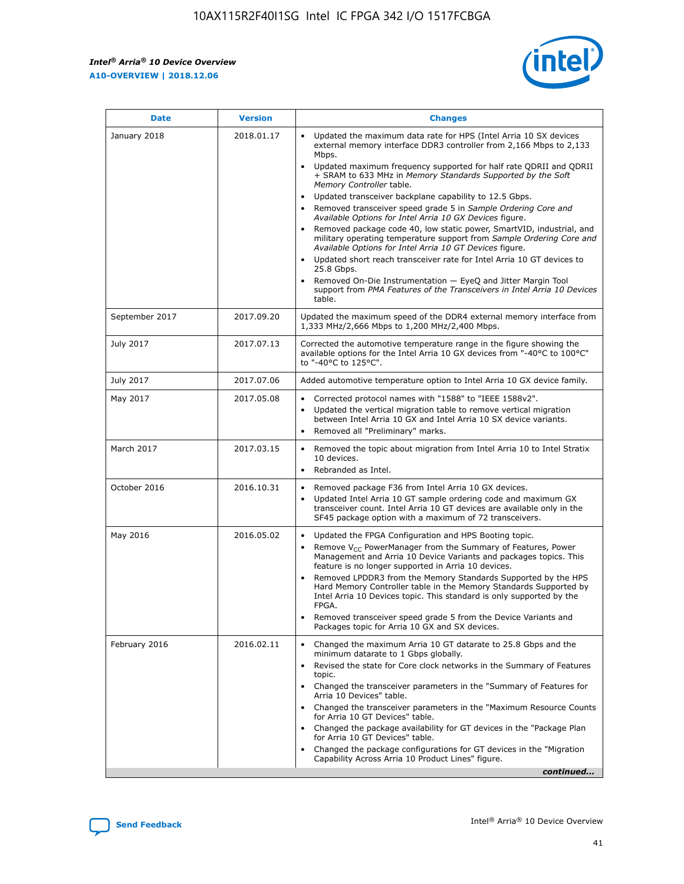*Intel® Arria® 10 Device Overview* **A10-OVERVIEW | 2018.12.06**



| <b>Date</b>    | <b>Version</b> | <b>Changes</b>                                                                                                                                                                                                                                                                                                                                                                                                                                                                                                                                                                                                                                                                                                                                                                                                                                                                                                                                                            |
|----------------|----------------|---------------------------------------------------------------------------------------------------------------------------------------------------------------------------------------------------------------------------------------------------------------------------------------------------------------------------------------------------------------------------------------------------------------------------------------------------------------------------------------------------------------------------------------------------------------------------------------------------------------------------------------------------------------------------------------------------------------------------------------------------------------------------------------------------------------------------------------------------------------------------------------------------------------------------------------------------------------------------|
| January 2018   | 2018.01.17     | Updated the maximum data rate for HPS (Intel Arria 10 SX devices<br>external memory interface DDR3 controller from 2,166 Mbps to 2,133<br>Mbps.<br>Updated maximum frequency supported for half rate QDRII and QDRII<br>+ SRAM to 633 MHz in Memory Standards Supported by the Soft<br>Memory Controller table.<br>Updated transceiver backplane capability to 12.5 Gbps.<br>$\bullet$<br>Removed transceiver speed grade 5 in Sample Ordering Core and<br>Available Options for Intel Arria 10 GX Devices figure.<br>Removed package code 40, low static power, SmartVID, industrial, and<br>military operating temperature support from Sample Ordering Core and<br>Available Options for Intel Arria 10 GT Devices figure.<br>Updated short reach transceiver rate for Intel Arria 10 GT devices to<br>25.8 Gbps.<br>Removed On-Die Instrumentation - EyeQ and Jitter Margin Tool<br>support from PMA Features of the Transceivers in Intel Arria 10 Devices<br>table. |
| September 2017 | 2017.09.20     | Updated the maximum speed of the DDR4 external memory interface from<br>1,333 MHz/2,666 Mbps to 1,200 MHz/2,400 Mbps.                                                                                                                                                                                                                                                                                                                                                                                                                                                                                                                                                                                                                                                                                                                                                                                                                                                     |
| July 2017      | 2017.07.13     | Corrected the automotive temperature range in the figure showing the<br>available options for the Intel Arria 10 GX devices from "-40°C to 100°C"<br>to "-40°C to 125°C".                                                                                                                                                                                                                                                                                                                                                                                                                                                                                                                                                                                                                                                                                                                                                                                                 |
| July 2017      | 2017.07.06     | Added automotive temperature option to Intel Arria 10 GX device family.                                                                                                                                                                                                                                                                                                                                                                                                                                                                                                                                                                                                                                                                                                                                                                                                                                                                                                   |
| May 2017       | 2017.05.08     | Corrected protocol names with "1588" to "IEEE 1588v2".<br>$\bullet$<br>Updated the vertical migration table to remove vertical migration<br>$\bullet$<br>between Intel Arria 10 GX and Intel Arria 10 SX device variants.<br>Removed all "Preliminary" marks.<br>$\bullet$                                                                                                                                                                                                                                                                                                                                                                                                                                                                                                                                                                                                                                                                                                |
| March 2017     | 2017.03.15     | Removed the topic about migration from Intel Arria 10 to Intel Stratix<br>10 devices.<br>Rebranded as Intel.<br>$\bullet$                                                                                                                                                                                                                                                                                                                                                                                                                                                                                                                                                                                                                                                                                                                                                                                                                                                 |
| October 2016   | 2016.10.31     | Removed package F36 from Intel Arria 10 GX devices.<br>Updated Intel Arria 10 GT sample ordering code and maximum GX<br>$\bullet$<br>transceiver count. Intel Arria 10 GT devices are available only in the<br>SF45 package option with a maximum of 72 transceivers.                                                                                                                                                                                                                                                                                                                                                                                                                                                                                                                                                                                                                                                                                                     |
| May 2016       | 2016.05.02     | Updated the FPGA Configuration and HPS Booting topic.<br>$\bullet$<br>Remove V <sub>CC</sub> PowerManager from the Summary of Features, Power<br>Management and Arria 10 Device Variants and packages topics. This<br>feature is no longer supported in Arria 10 devices.<br>Removed LPDDR3 from the Memory Standards Supported by the HPS<br>Hard Memory Controller table in the Memory Standards Supported by<br>Intel Arria 10 Devices topic. This standard is only supported by the<br>FPGA.<br>Removed transceiver speed grade 5 from the Device Variants and<br>Packages topic for Arria 10 GX and SX devices.                                                                                                                                                                                                                                                                                                                                                      |
| February 2016  | 2016.02.11     | Changed the maximum Arria 10 GT datarate to 25.8 Gbps and the<br>minimum datarate to 1 Gbps globally.<br>Revised the state for Core clock networks in the Summary of Features<br>$\bullet$<br>topic.<br>Changed the transceiver parameters in the "Summary of Features for<br>$\bullet$<br>Arria 10 Devices" table.<br>• Changed the transceiver parameters in the "Maximum Resource Counts<br>for Arria 10 GT Devices" table.<br>Changed the package availability for GT devices in the "Package Plan<br>for Arria 10 GT Devices" table.<br>Changed the package configurations for GT devices in the "Migration"<br>Capability Across Arria 10 Product Lines" figure.<br>continued                                                                                                                                                                                                                                                                                       |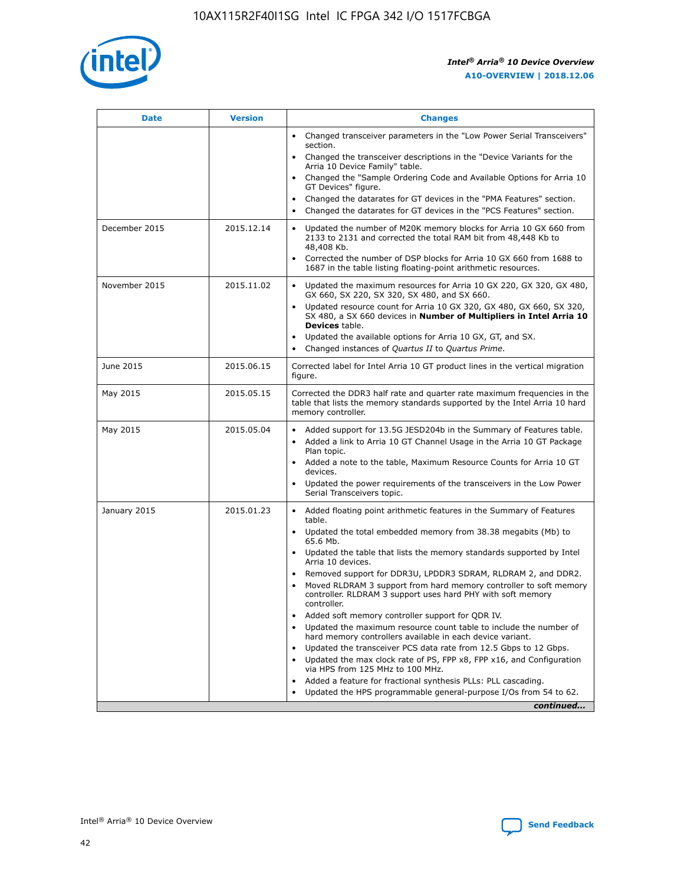

| <b>Date</b>   | <b>Version</b> | <b>Changes</b>                                                                                                                                                               |
|---------------|----------------|------------------------------------------------------------------------------------------------------------------------------------------------------------------------------|
|               |                | • Changed transceiver parameters in the "Low Power Serial Transceivers"<br>section.                                                                                          |
|               |                | Changed the transceiver descriptions in the "Device Variants for the<br>Arria 10 Device Family" table.                                                                       |
|               |                | Changed the "Sample Ordering Code and Available Options for Arria 10<br>GT Devices" figure.                                                                                  |
|               |                | Changed the datarates for GT devices in the "PMA Features" section.                                                                                                          |
|               |                | Changed the datarates for GT devices in the "PCS Features" section.                                                                                                          |
| December 2015 | 2015.12.14     | Updated the number of M20K memory blocks for Arria 10 GX 660 from<br>2133 to 2131 and corrected the total RAM bit from 48,448 Kb to<br>48,408 Kb.                            |
|               |                | Corrected the number of DSP blocks for Arria 10 GX 660 from 1688 to<br>1687 in the table listing floating-point arithmetic resources.                                        |
| November 2015 | 2015.11.02     | • Updated the maximum resources for Arria 10 GX 220, GX 320, GX 480,<br>GX 660, SX 220, SX 320, SX 480, and SX 660.                                                          |
|               |                | • Updated resource count for Arria 10 GX 320, GX 480, GX 660, SX 320,<br>SX 480, a SX 660 devices in Number of Multipliers in Intel Arria 10<br>Devices table.               |
|               |                | Updated the available options for Arria 10 GX, GT, and SX.                                                                                                                   |
|               |                | Changed instances of Quartus II to Quartus Prime.                                                                                                                            |
| June 2015     | 2015.06.15     | Corrected label for Intel Arria 10 GT product lines in the vertical migration<br>figure.                                                                                     |
| May 2015      | 2015.05.15     | Corrected the DDR3 half rate and quarter rate maximum frequencies in the<br>table that lists the memory standards supported by the Intel Arria 10 hard<br>memory controller. |
| May 2015      | 2015.05.04     | Added support for 13.5G JESD204b in the Summary of Features table.<br>Added a link to Arria 10 GT Channel Usage in the Arria 10 GT Package<br>Plan topic.                    |
|               |                | • Added a note to the table, Maximum Resource Counts for Arria 10 GT<br>devices.                                                                                             |
|               |                | Updated the power requirements of the transceivers in the Low Power<br>Serial Transceivers topic.                                                                            |
| January 2015  | 2015.01.23     | • Added floating point arithmetic features in the Summary of Features<br>table.                                                                                              |
|               |                | Updated the total embedded memory from 38.38 megabits (Mb) to<br>$\bullet$<br>65.6 Mb.                                                                                       |
|               |                | Updated the table that lists the memory standards supported by Intel<br>Arria 10 devices.                                                                                    |
|               |                | Removed support for DDR3U, LPDDR3 SDRAM, RLDRAM 2, and DDR2.                                                                                                                 |
|               |                | Moved RLDRAM 3 support from hard memory controller to soft memory<br>controller. RLDRAM 3 support uses hard PHY with soft memory<br>controller.                              |
|               |                | Added soft memory controller support for QDR IV.                                                                                                                             |
|               |                | Updated the maximum resource count table to include the number of<br>hard memory controllers available in each device variant.                                               |
|               |                | Updated the transceiver PCS data rate from 12.5 Gbps to 12 Gbps.<br>$\bullet$                                                                                                |
|               |                | Updated the max clock rate of PS, FPP x8, FPP x16, and Configuration<br>via HPS from 125 MHz to 100 MHz.                                                                     |
|               |                | Added a feature for fractional synthesis PLLs: PLL cascading.                                                                                                                |
|               |                | Updated the HPS programmable general-purpose I/Os from 54 to 62.                                                                                                             |
|               |                | continued                                                                                                                                                                    |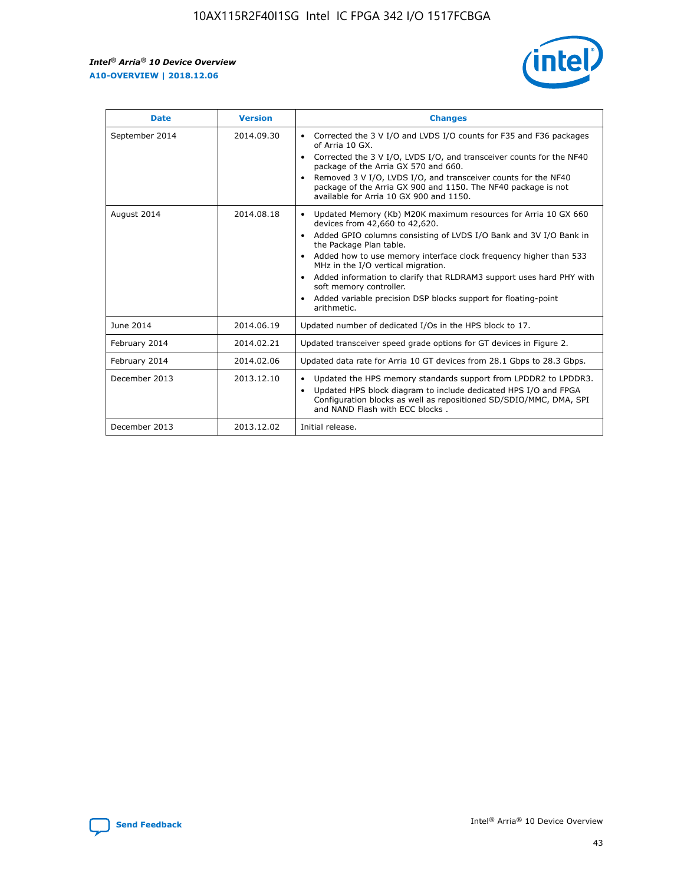r



| <b>Date</b>    | <b>Version</b> | <b>Changes</b>                                                                                                                                                                                                                                                                                                                                                                                                                                                                                                                                      |
|----------------|----------------|-----------------------------------------------------------------------------------------------------------------------------------------------------------------------------------------------------------------------------------------------------------------------------------------------------------------------------------------------------------------------------------------------------------------------------------------------------------------------------------------------------------------------------------------------------|
| September 2014 | 2014.09.30     | Corrected the 3 V I/O and LVDS I/O counts for F35 and F36 packages<br>$\bullet$<br>of Arria 10 GX.<br>Corrected the 3 V I/O, LVDS I/O, and transceiver counts for the NF40<br>$\bullet$<br>package of the Arria GX 570 and 660.<br>Removed 3 V I/O, LVDS I/O, and transceiver counts for the NF40<br>package of the Arria GX 900 and 1150. The NF40 package is not<br>available for Arria 10 GX 900 and 1150.                                                                                                                                       |
| August 2014    | 2014.08.18     | Updated Memory (Kb) M20K maximum resources for Arria 10 GX 660<br>devices from 42,660 to 42,620.<br>Added GPIO columns consisting of LVDS I/O Bank and 3V I/O Bank in<br>$\bullet$<br>the Package Plan table.<br>Added how to use memory interface clock frequency higher than 533<br>$\bullet$<br>MHz in the I/O vertical migration.<br>Added information to clarify that RLDRAM3 support uses hard PHY with<br>$\bullet$<br>soft memory controller.<br>Added variable precision DSP blocks support for floating-point<br>$\bullet$<br>arithmetic. |
| June 2014      | 2014.06.19     | Updated number of dedicated I/Os in the HPS block to 17.                                                                                                                                                                                                                                                                                                                                                                                                                                                                                            |
| February 2014  | 2014.02.21     | Updated transceiver speed grade options for GT devices in Figure 2.                                                                                                                                                                                                                                                                                                                                                                                                                                                                                 |
| February 2014  | 2014.02.06     | Updated data rate for Arria 10 GT devices from 28.1 Gbps to 28.3 Gbps.                                                                                                                                                                                                                                                                                                                                                                                                                                                                              |
| December 2013  | 2013.12.10     | Updated the HPS memory standards support from LPDDR2 to LPDDR3.<br>Updated HPS block diagram to include dedicated HPS I/O and FPGA<br>$\bullet$<br>Configuration blocks as well as repositioned SD/SDIO/MMC, DMA, SPI<br>and NAND Flash with ECC blocks.                                                                                                                                                                                                                                                                                            |
| December 2013  | 2013.12.02     | Initial release.                                                                                                                                                                                                                                                                                                                                                                                                                                                                                                                                    |